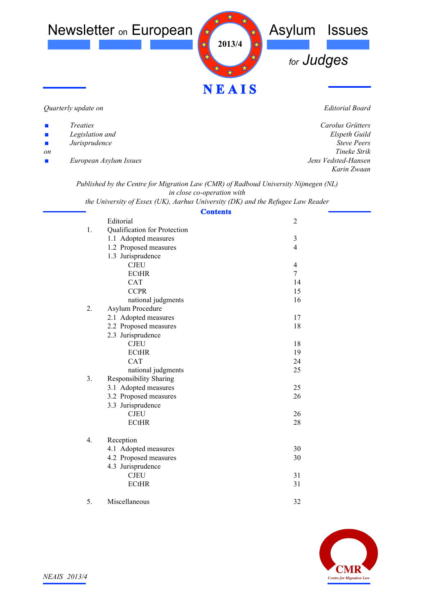

*Quarterly update on*

*Editorial Board*

| $\mathbf{r}$                | <i>Treaties</i>        | Carolus Grütters    |
|-----------------------------|------------------------|---------------------|
| $\mathcal{L}_{\mathcal{A}}$ | Legislation and        | Elspeth Guild       |
| $\mathcal{L}_{\mathcal{A}}$ | Jurisprudence          | <b>Steve Peers</b>  |
| <sub>on</sub>               |                        | Tineke Strik        |
| $\mathbf{r}$                | European Asylum Issues | Jens Vedsted-Hansen |
|                             |                        | Karin Zwaan         |
|                             |                        |                     |

*Published by the Centre for Migration Law (CMR) of Radboud University Nijmegen (NL) in close co-operation with*

*the University of Essex (UK), Aarhus University (DK) and the Refugee Law Reader*

|                | <b>Contents</b>              |                |  |
|----------------|------------------------------|----------------|--|
|                | Editorial                    | $\overline{2}$ |  |
| 1.             | Qualification for Protection |                |  |
|                | 1.1 Adopted measures         | $\mathfrak{Z}$ |  |
|                | 1.2 Proposed measures        | $\overline{4}$ |  |
|                | 1.3 Jurisprudence            |                |  |
|                | <b>CJEU</b>                  | $\overline{4}$ |  |
|                | <b>ECtHR</b>                 | 7              |  |
|                | <b>CAT</b>                   | 14             |  |
|                | <b>CCPR</b>                  | 15             |  |
|                | national judgments           | 16             |  |
| 2.             | Asylum Procedure             |                |  |
|                | 2.1 Adopted measures         | 17             |  |
|                | 2.2 Proposed measures        | 18             |  |
|                | 2.3 Jurisprudence            |                |  |
|                | <b>CJEU</b>                  | 18             |  |
|                | <b>ECtHR</b>                 | 19             |  |
|                | <b>CAT</b>                   | 24             |  |
|                | national judgments           | 25             |  |
| 3 <sub>1</sub> | Responsibility Sharing       |                |  |
|                | 3.1 Adopted measures         | 25             |  |
|                | 3.2 Proposed measures        | 26             |  |
|                | 3.3 Jurisprudence            |                |  |
|                | <b>CJEU</b>                  | 26             |  |
|                | <b>ECtHR</b>                 | 28             |  |
| 4.             | Reception                    |                |  |
|                | 4.1 Adopted measures         | 30             |  |
|                | 4.2 Proposed measures        | 30             |  |
|                | 4.3 Jurisprudence            |                |  |
|                | <b>CJEU</b>                  | 31             |  |
|                | <b>ECtHR</b>                 | 31             |  |
|                |                              |                |  |
|                |                              |                |  |

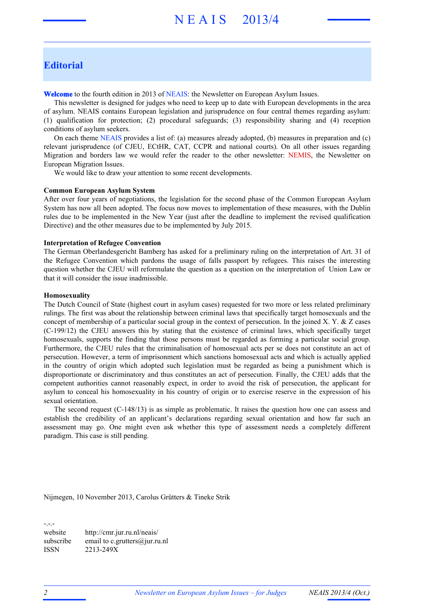# **Editorial**

**Welcome** to the fourth edition in 2013 of NEAIS: the Newsletter on European Asylum Issues.

This newsletter is designed for judges who need to keep up to date with European developments in the area of asylum. NEAIS contains European legislation and jurisprudence on four central themes regarding asylum: (1) qualification for protection; (2) procedural safeguards; (3) responsibility sharing and (4) reception conditions of asylum seekers.

On each theme NEAIS provides a list of: (a) measures already adopted, (b) measures in preparation and (c) relevant jurisprudence (of CJEU, ECtHR, CAT, CCPR and national courts). On all other issues regarding Migration and borders law we would refer the reader to the other newsletter: NEMIS, the Newsletter on European Migration Issues.

We would like to draw your attention to some recent developments.

#### **Common European Asylum System**

After over four years of negotiations, the legislation for the second phase of the Common European Asylum System has now all been adopted. The focus now moves to implementation of these measures, with the Dublin rules due to be implemented in the New Year (just after the deadline to implement the revised qualification Directive) and the other measures due to be implemented by July 2015.

#### **Interpretation of Refugee Convention**

The German Oberlandesgericht Bamberg has asked for a preliminary ruling on the interpretation of Art. 31 of the Refugee Convention which pardons the usage of falls passport by refugees. This raises the interesting question whether the CJEU will reformulate the question as a question on the interpretation of Union Law or that it will consider the issue inadmissible.

#### **Homosexuality**

The Dutch Council of State (highest court in asylum cases) requested for two more or less related preliminary rulings. The first was about the relationship between criminal laws that specifically target homosexuals and the concept of membership of a particular social group in the context of persecution. In the joined X. Y. & Z cases (C-199/12) the CJEU answers this by stating that the existence of criminal laws, which specifically target homosexuals, supports the finding that those persons must be regarded as forming a particular social group. Furthermore, the CJEU rules that the criminalisation of homosexual acts per se does not constitute an act of persecution. However, a term of imprisonment which sanctions homosexual acts and which is actually applied in the country of origin which adopted such legislation must be regarded as being a punishment which is disproportionate or discriminatory and thus constitutes an act of persecution. Finally, the CJEU adds that the competent authorities cannot reasonably expect, in order to avoid the risk of persecution, the applicant for asylum to conceal his homosexuality in his country of origin or to exercise reserve in the expression of his sexual orientation.

The second request (C-148/13) is as simple as problematic. It raises the question how one can assess and establish the credibility of an applicant's declarations regarding sexual orientation and how far such an assessment may go. One might even ask whether this type of assessment needs a completely different paradigm. This case is still pending.

Nijmegen, 10 November 2013, Carolus Grütters & Tineke Strik

-.-. website http://cmr.jur.ru.nl/neais/ subscribe email to c. grutters@jur.ru.nl ISSN 2213-249X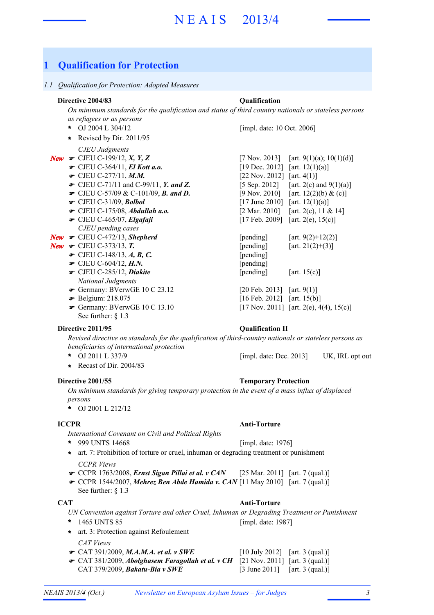# **1 Qualification for Protection**

# *1.1 Qualification for Protection: Adopted Measures*

## **Directive 2004/83 Qualification**

*On minimum standards for the qualification and status of third country nationals or stateless persons as refugees or as persons*

- OJ 2004 L 304/12 **\***
- **\*** Revised by Dir. 2011/95
- *CJEU Judgments*

# ่ New อ<sub>ั</sub>

- $\bullet$  CJEU C-364/11, El Kott a.o.
- CJEU C-277/11, M.M.
- 
- 
- $\bullet$  CJEU C-31/09, Bolbol
- 
- *CJEU pending cases* CJEU C-465/07, Elgafaji
- 
- - $\bullet$  CJEU C-148/13, *A*, *B*, *C*. [pending]
		- $\bullet$  CJEU C-604/12,  $H.N.$  [pending]
		- CJEU C-285/12, *Diakite* [pending] [art. 15(c)] *National Judgments*
		- Germany: BVerwGE 10 C 23.12 [20 Feb. 2013] [art. 9(1)]
		- **•** Belgium: 218.075
		- See further: § 1.3 Germany: BVerwGE 10 C 13.10

## **Directive 2011/95 Qualification II**

*Revised directive on standards for the qualification of third-country nationals or stateless persons as beneficiaries of international protection*

- OJ 2011 L 337/9 UK, IRL opt out **\*** [impl. date: Dec. 2013]
- **\*** Recast of Dir. 2004/83

*On minimum standards for giving temporary protection in the event of a mass influx of displaced persons*

OJ 2001 L 212/12 **\***

# *International Covenant on Civil and Political Rights*

- 999 UNTS 14668 **\***
- *CCPR Views* **\*** art. 7: Prohibition of torture or cruel, inhuman or degrading treatment or punishment
- **CCPR** 1763/2008, *Ernst Sigan Pillai et al. v CAN* [25 Mar. 2011] [art. 7 (qual.)]
- CCPR 1544/2007, *Mehrez Ben Abde Hamida v. CAN* [11 May 2010] [art. 7 (qual.)] F See further: § 1.3

## **CAT Anti-Torture**

# *UN Convention against Torture and other Cruel, Inhuman or Degrading Treatment or Punishment* [impl. date: 1987]

- 1465 UNTS 85 **\***
- *CAT Views* **\*** art. 3: Protection against Refoulement
- **←** CAT 391/2009, *M.A.M.A. et al. v SWE* [10 July 2012] [art. 3 (qual.)]  **← CAT 381/2009, Abolghasem Faragollah et al. v CH** [21 Nov. 2011] [art. 3 (qual.)] CAT 379/2009, *Bakatu-Bia v SWE* [3 June 2011] [art. 3 (qual.)]

# **ICCPR Anti-Torture**

[impl. date: 1976]

[impl. date: 10 Oct. 2006]

[7 Nov. 2013] [art.  $9(1)(a)$ ;  $10(1)(d)$ ] [19 Dec. 2012] [art.  $12(1)(a)$ ] [22 Nov. 2012] [art.  $4(1)$ ] • CJEU C-71/11 and C-99/11, *Y. and Z.* [5 Sep. 2012] [art. 2(c) and 9(1)(a)] • CJEU C-57/09 & C-101/09, **B. and D.** [9 Nov. 2010] [art. 12(2)(b) & (c)] [17 June 2010] [art.  $12(1)(a)$ ]  $\bullet$  CJEU C-175/08, *Abdullah a.o.* [2 Mar. 2010] [art. 2(c), 11 & 14] [17 Feb. 2009] [art. 2(e), 15(c)] **New •** CJEU C-472/13, *Shepherd* [pending] [art. 9(2)+12(2)] **New •** CJEU C-373/13, **T.** [pending] [art. 21(2)+(3)]

[17 Nov. 2011] [art. 2(e), 4(4), 15(c)]

 $[16 \text{ Feb. } 2012]$   $[art. 15(b)]$ 

# **Directive 2001/55 Temporary Protection**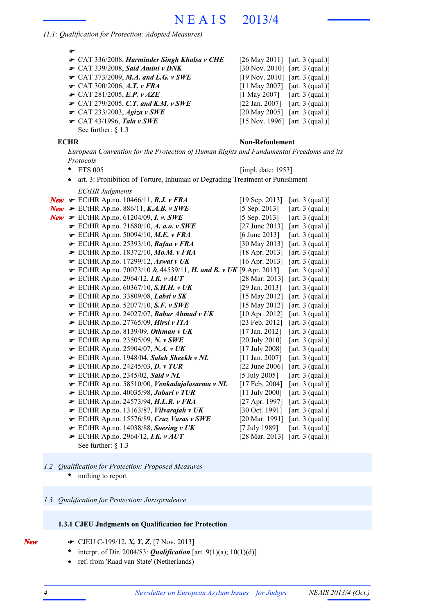# *(1.1: Qualification for Protection: Adopted Measures)*

| ☞                                                                                                 |                                                       |                                          |
|---------------------------------------------------------------------------------------------------|-------------------------------------------------------|------------------------------------------|
| CAT 336/2008, Harminder Singh Khalsa v CHE                                                        | $[26$ May 2011] $[art. 3 (qual.)]$                    |                                          |
| CAT 339/2008, Said Amini v DNK                                                                    | [30 Nov. 2010] [art. 3 (qual.)]                       |                                          |
| $\bullet$ CAT 373/2009, M.A. and L.G. v SWE                                                       | $[19 Nov. 2010]$ [art. 3 (qual.)]                     |                                          |
| $\bullet$ CAT 300/2006, A.T. v FRA                                                                | $[11$ May 2007] $[art. 3 (qual.)]$                    |                                          |
| $\bullet$ CAT 281/2005, E.P. v AZE                                                                | $[1$ May 2007]                                        | [art. $3$ (qual.)]                       |
| $\bullet$ CAT 279/2005, C.T. and K.M. v SWE                                                       | $[22 \text{ Jan. } 2007]$                             | [art. $3$ (qual.)]                       |
| $\bullet$ CAT 233/2003, Agiza v SWE                                                               | $[20$ May 2005] [art. 3 (qual.)]                      |                                          |
| $\bullet$ CAT 43/1996, Tala v SWE                                                                 | $[15 Nov. 1996]$ [art. 3 (qual.)]                     |                                          |
| See further: $\S$ 1.3                                                                             |                                                       |                                          |
| <b>ECHR</b>                                                                                       | <b>Non-Refoulement</b>                                |                                          |
| European Convention for the Protection of Human Rights and Fundamental Freedoms and its           |                                                       |                                          |
| Protocols                                                                                         |                                                       |                                          |
| *<br><b>ETS 005</b>                                                                               | [impl. date: 1953]                                    |                                          |
| art. 3: Prohibition of Torture, Inhuman or Degrading Treatment or Punishment<br>*                 |                                                       |                                          |
|                                                                                                   |                                                       |                                          |
| <b>ECtHR</b> Judgments                                                                            |                                                       |                                          |
| New $\bullet$ ECtHR Ap.no. 10466/11, R.J. v FRA                                                   | $[19$ Sep. 2013]                                      | [art. $3$ (qual.)]                       |
| New $\bullet$ ECtHR Ap.no. 886/11, K.A.B. v SWE<br>New $\bullet$ ECtHR Ap.no. 61204/09, I. v. SWE | $[5 \text{ Sep. } 2013]$                              | [art. $3$ (qual.)]                       |
|                                                                                                   | $[5 \text{ Sep. } 2013]$                              | [art. $3$ (qual.)]                       |
| ECtHR Ap.no. 71680/10, A. a.o. v SWE<br>ECtHR Ap.no. 50094/10, M.E. v FRA                         | $[27 \text{ June } 2013]$<br>$[6 \text{ June } 2013]$ | [art. $3$ (qual.)]                       |
| ECtHR Ap.no. 25393/10, Rafaa v FRA                                                                | [30 May 2013]                                         | [art. $3$ (qual.)]<br>[art. $3$ (qual.)] |
|                                                                                                   | $[18$ Apr. 2013]                                      | [art. $3$ (qual.)]                       |
| ECtHR Ap.no. 18372/10, Mo.M. v FRA<br>ECtHR Ap.no. 17299/12, Aswat v UK                           | $[16$ Apr. 2013]                                      | [art. $3$ (qual.)]                       |
| ECtHR Ap.no. 70073/10 & 44539/11, H. and B. v UK [9 Apr. 2013]                                    |                                                       | [art. $3$ (qual.)]                       |
| $\bullet$ ECtHR Ap.no. 2964/12, I.K. $v$ AUT                                                      | [28 Mar. 2013]                                        | [art. $3$ (qual.)]                       |
| ECtHR Ap.no. 60367/10, S.H.H. v UK                                                                | [ $29$ Jan. $2013$ ]                                  | [art. $3$ (qual.)]                       |
| ECtHR Ap.no. 33809/08, Labsi v SK                                                                 | $[15$ May 2012]                                       | [art. $3$ (qual.)]                       |
| ECtHR Ap.no. 52077/10, S.F. v SWE                                                                 | $[15$ May 2012]                                       | [art. $3$ (qual.)]                       |
| ECtHR Ap.no. 24027/07, Babar Ahmad v UK                                                           | [10 Apr. 2012]                                        | [art. $3$ (qual.)]                       |
| ECtHR Ap.no. 27765/09, Hirsi v ITA                                                                | [23 Feb. 2012]                                        | [art. $3$ (qual.)]                       |
| ECtHR Ap.no. 8139/09, Othman v UK                                                                 | $[17 \text{ Jan. } 2012]$                             | [art. $3$ (qual.)]                       |
| ECtHR Ap.no. 23505/09, N. v SWE                                                                   | $[20$ July 2010]                                      | [art. $3$ (qual.)]                       |
| <b>■</b> ECtHR Ap.no. 25904/07, N.A. v UK                                                         | [17 July 2008]                                        | [art. $3$ (qual.)]                       |
| F ECtHR Ap.no. 1948/04, Salah Sheekh v NL                                                         | $[11$ Jan. 2007]                                      | [art. $3$ (qual.)]                       |
| ECtHR Ap.no. 24245/03, <b>D.</b> v TUR                                                            | [22 June 2006] [art. 3 (qual.)]                       |                                          |
| $\bullet$ ECtHR Ap.no. 2345/02, Said v NL                                                         | [5 July 2005]                                         | [art. $3$ (qual.)]                       |
| ECtHR Ap.no. 58510/00, Venkadajalasarma v NL                                                      | $[17$ Feb. 2004]                                      | [art. $3$ (qual.)]                       |
| ECtHR Ap.no. 40035/98, Jabari v TUR<br>☞                                                          | $[11$ July 2000]                                      | [art. $3$ (qual.)]                       |
| ECtHR Ap.no. 24573/94, H.L.R. v FRA<br>☞                                                          | [27 Apr. 1997]                                        | [art. $3$ (qual.)]                       |
| ECtHR Ap.no. 13163/87, Vilvarajah v UK<br>œ                                                       | $[30 \text{ Oct. } 1991]$                             | [art. $3$ (qual.)]                       |
| ECtHR Ap.no. 15576/89, Cruz Varas v SWE<br>œ                                                      | [20 Mar. 1991]                                        | [art. $3$ (qual.)]                       |
| ECtHR Ap.no. 14038/88, Soering v UK                                                               | [7 July 1989]                                         | [art. $3$ (qual.)]                       |
| $\bullet$ ECtHR Ap.no. 2964/12, I.K. $v$ AUT                                                      | $[28 \text{ Mar. } 2013]$                             | [art. $3$ (qual.)]                       |
|                                                                                                   |                                                       |                                          |

See further: § 1.3

*1.2 Qualification for Protection: Proposed Measures*

nothing to report **\***

# *1.3 Qualification for Protection: Jurisprudence*

## **1.3.1 CJEU Judgments on Qualification for Protection**

*New*

- F CJEU C-199/12, *X, Y, Z*, [7 Nov. 2013]
- **\*** interpr. of Dir. 2004/83: **Qualification** [art.  $9(1)(a)$ ;  $10(1)(d)$ ]
- ref. from 'Raad van State' (Netherlands) **\***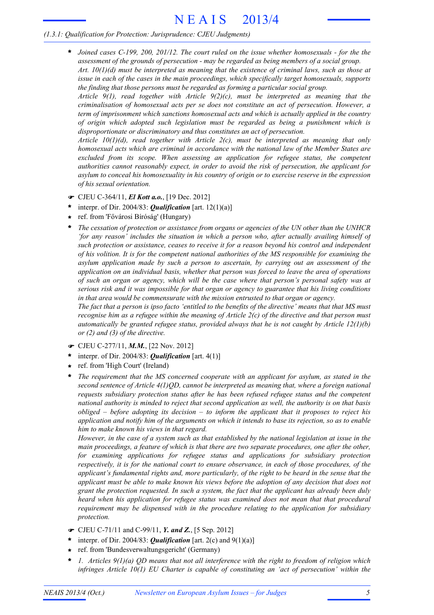# *(1.3.1: Qualification for Protection: Jurisprudence: CJEU Judgments)*

*Joined cases C-199, 200, 201/12. The court ruled on the issue whether homosexuals - for the the assessment of the grounds of persecution - may be regarded as being members of a social group. Art. 10(1)(d) must be interpreted as meaning that the existence of criminal laws, such as those at issue in each of the cases in the main proceedings, which specifically target homosexuals, supports* **\***

*the finding that those persons must be regarded as forming a particular social group. Article 9(1), read together with Article 9(2)(c), must be interpreted as meaning that the criminalisation of homosexual acts per se does not constitute an act of persecution. However, a term of imprisonment which sanctions homosexual acts and which is actually applied in the country of origin which adopted such legislation must be regarded as being a punishment which is disproportionate or discriminatory and thus constitutes an act of persecution.*

*Article 10(1)(d), read together with Article 2(c), must be interpreted as meaning that only homosexual acts which are criminal in accordance with the national law of the Member States are excluded from its scope. When assessing an application for refugee status, the competent authorities cannot reasonably expect, in order to avoid the risk of persecution, the applicant for asylum to conceal his homosexuality in his country of origin or to exercise reserve in the expression of his sexual orientation.*

- F CJEU C-364/11, *El Kott a.o.*, [19 Dec. 2012]
- interpr. of Dir. 2004/83: *Qualification* [art. 12(1)(a)] **\***
- ref. from 'Fővárosi Bíróság' (Hungary) **\***

*The cessation of protection or assistance from organs or agencies of the UN other than the UNHCR 'for any reason' includes the situation in which a person who, after actually availing himself of such protection or assistance, ceases to receive it for a reason beyond his control and independent of his volition. It is for the competent national authorities of the MS responsible for examining the asylum application made by such a person to ascertain, by carrying out an assessment of the application on an individual basis, whether that person was forced to leave the area of operations of such an organ or agency, which will be the case where that person's personal safety was at serious risk and it was impossible for that organ or agency to guarantee that his living conditions in that area would be commensurate with the mission entrusted to that organ or agency.* **\***

The fact that a person is ipso facto 'entitled to the benefits of the directive' means that that MS must recognise him as a refugee within the meaning of Article  $2(c)$  of the directive and that person must *automatically be granted refugee status, provided always that he is not caught by Article 12(1)(b) or (2) and (3) of the directive.*

- F CJEU C-277/11, *M.M.*, [22 Nov. 2012]
- interpr. of Dir. 2004/83: *Qualification* [art. 4(1)] **\***
- ref. from 'High Court' (Ireland) **\***
- *The requirement that the MS concerned cooperate with an applicant for asylum, as stated in the second sentence of Article 4(1)QD, cannot be interpreted as meaning that, where a foreign national requests subsidiary protection status after he has been refused refugee status and the competent national authority is minded to reject that second application as well, the authority is on that basis obliged – before adopting its decision – to inform the applicant that it proposes to reject his* application and notify him of the arguments on which it intends to base its rejection, so as to enable *him to make known his views in that regard.* **\***

However, in the case of a system such as that established by the national legislation at issue in the *main proceedings, a feature of which is that there are two separate procedures, one after the other, for examining applications for refugee status and applications for subsidiary protection respectively, it is for the national court to ensure observance, in each of those procedures, of the applicant's fundamental rights and, more particularly, of the right to be heard in the sense that the applicant must be able to make known his views before the adoption of any decision that does not grant the protection requested. In such a system, the fact that the applicant has already been duly heard when his application for refugee status was examined does not mean that that procedural requirement may be dispensed with in the procedure relating to the application for subsidiary protection.*

- F CJEU C-71/11 and C-99/11, *Y. and Z.*, [5 Sep. 2012]
- interpr. of Dir. 2004/83: *Qualification* [art. 2(c) and 9(1)(a)] **\***
- ref. from 'Bundesverwaltungsgericht' (Germany) **\***
- *1. Articles 9(1)(a) QD means that not all interference with the right to freedom of religion which infringes Article 10(1) EU Charter is capable of constituting an 'act of persecution' within the* **\***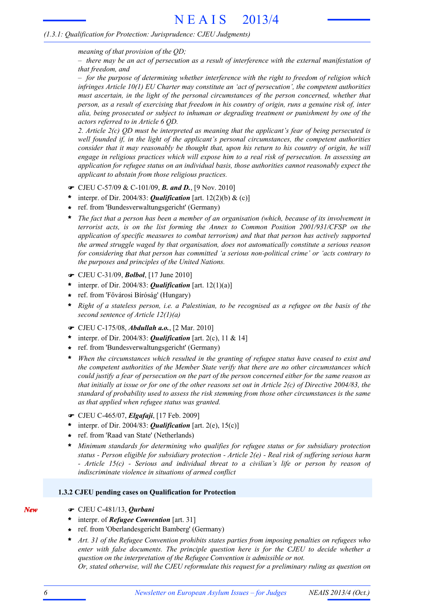# *(1.3.1: Qualification for Protection: Jurisprudence: CJEU Judgments)*

*meaning of that provision of the QD;*

 $-$  there may be an act of persecution as a result of interference with the external manifestation of *that freedom, and*

*– for the purpose of determining whether interference with the right to freedom of religion which infringes Article 10(1) EU Charter may constitute an 'act of persecution', the competent authorities must ascertain, in the light of the personal circumstances of the person concerned, whether that* person, as a result of exercising that freedom in his country of origin, runs a genuine risk of, inter *alia, being prosecuted or subject to inhuman or degrading treatment or punishment by one of the actors referred to in Article 6 QD.*

*2. Article 2(c) QD must be interpreted as meaning that the applicant's fear of being persecuted is well founded if, in the light of the applicant's personal circumstances, the competent authorities consider that it may reasonably be thought that, upon his return to his country of origin, he will engage in religious practices which will expose him to a real risk of persecution. In assessing an application for refugee status on an individual basis, those authorities cannot reasonably expect the applicant to abstain from those religious practices.*

- F CJEU C-57/09 & C-101/09, *B. and D.*, [9 Nov. 2010]
- interpr. of Dir. 2004/83: *Qualification* [art. 12(2)(b) & (c)] **\***
- ref. from 'Bundesverwaltungsgericht' (Germany) **\***
- *The fact that a person has been a member of an organisation (which, because of its involvement in terrorist acts, is on the list forming the Annex to Common Position 2001/931/CFSP on the application of specific measures to combat terrorism) and that that person has actively supported the armed struggle waged by that organisation, does not automatically constitute a serious reason for considering that that person has committed 'a serious non-political crime' or 'acts contrary to the purposes and principles of the United Nations.* **\***
- F CJEU C-31/09, *Bolbol*, [17 June 2010]
- interpr. of Dir. 2004/83: *Qualification* [art. 12(1)(a)] **\***
- ref. from 'Fővárosi Bíróság' (Hungary) **\***
- \* Right of a stateless person, i.e. a Palestinian, to be recognised as a refugee on the basis of the *second sentence of Article 12(1)(a)*
- F CJEU C-175/08, *Abdullah a.o.*, [2 Mar. 2010]
- \* interpr. of Dir. 2004/83: **Qualification** [art. 2(c), 11 & 14]
- ref. from 'Bundesverwaltungsgericht' (Germany) **\***
- *When the circumstances which resulted in the granting of refugee status have ceased to exist and the competent authorities of the Member State verify that there are no other circumstances which* could justify a fear of persecution on the part of the person concerned either for the same reason as that initially at issue or for one of the other reasons set out in Article  $2(c)$  of Directive 2004/83, the *standard of probability used to assess the risk stemming from those other circumstances is the same as that applied when refugee status was granted.* **\***
- F CJEU C-465/07, *Elgafaji*, [17 Feb. 2009]
- interpr. of Dir. 2004/83: *Qualification* [art. 2(e), 15(c)] **\***
- ref. from 'Raad van State' (Netherlands) **\***
- *Minimum standards for determining who qualifies for refugee status or for subsidiary protection status - Person eligible for subsidiary protection - Article 2(e) - Real risk of suffering serious harm - Article 15(c) - Serious and individual threat to a civilian's life or person by reason of indiscriminate violence in situations of armed conflict* **\***

## **1.3.2 CJEU pending cases on Qualification for Protection**

- *New*
- F CJEU C-481/13, *Qurbani*
- interpr. of *Refugee Convention* [art. 31] **\***
- ref. from 'Oberlandesgericht Bamberg' (Germany) **\***
- *Art. 31 of the Refugee Convention prohibits states parties from imposing penalties on refugees who enter with false documents. The principle question here is for the CJEU to decide whether a question on the interpretation of the Refugee Convention is admissible or not. Or, stated otherwise, will the CJEU reformulate this request for a preliminary ruling as question on* **\***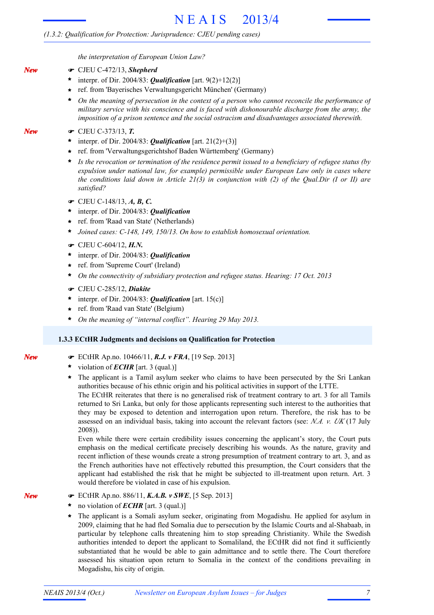# *(1.3.2: Qualification for Protection: Jurisprudence: CJEU pending cases)*

*the interpretation of European Union Law?*

- *New*
- F CJEU C-472/13, *Shepherd*
- interpr. of Dir. 2004/83: *Qualification* [art. 9(2)+12(2)] **\***
- ref. from 'Bayerisches Verwaltungsgericht München' (Germany) **\***
- *On the meaning of persecution in the context of a person who cannot reconcile the performance of military service with his conscience and is faced with dishonourable discharge from the army, the imposition of a prison sentence and the social ostracism and disadvantages associated therewith.* **\***

#### *New*

*New*

*New*

- F CJEU C-373/13, *T.*
	- interpr. of Dir. 2004/83: *Qualification* [art. 21(2)+(3)] **\***
	- ref. from 'Verwaltungsgerichtshof Baden Württemberg' (Germany) **\***
	- *Is the revocation or termination of the residence permit issued to a beneficiary of refugee status (by expulsion under national law, for example) permissible under European Law only in cases where the conditions laid down in Article 21(3) in conjunction with (2) of the Qual.Dir (I or II) are satisfied?* **\***
	- F CJEU C-148/13, *A, B, C.*
	- interpr. of Dir. 2004/83: *Qualification* **\***
	- ref. from 'Raad van State' (Netherlands) **\***
	- **\*** *Joined cases: C-148, 149, 150/13. On how to establish homosexual orientation.*
	- F CJEU C-604/12, *H.N.*
	- interpr. of Dir. 2004/83: *Qualification* **\***
	- ref. from 'Supreme Court' (Ireland) **\***
	- **\*** *On the connectivity of subsidiary protection and refugee status. Hearing: 17 Oct. 2013*
	- F CJEU C-285/12, *Diakite*
	- interpr. of Dir. 2004/83: *Qualification* [art. 15(c)] **\***
	- ref. from 'Raad van State' (Belgium) **\***
	- **\*** *On the meaning of "internal conflict". Hearing 29 May 2013.*

## **1.3.3 ECtHR Judgments and decisions on Qualification for Protection**

- F ECtHR Ap.no. 10466/11, *R.J. v FRA*, [19 Sep. 2013]
- violation of *ECHR* [art. 3 (qual.)] **\***
- The applicant is a Tamil asylum seeker who claims to have been persecuted by the Sri Lankan authorities because of his ethnic origin and his political activities in support of the LTTE. **\***

The ECtHR reiterates that there is no generalised risk of treatment contrary to art. 3 for all Tamils returned to Sri Lanka, but only for those applicants representing such interest to the authorities that they may be exposed to detention and interrogation upon return. Therefore, the risk has to be assessed on an individual basis, taking into account the relevant factors (see: *N.A. v. UK* (17 July 2008)).

Even while there were certain credibility issues concerning the applicant's story, the Court puts emphasis on the medical certificate precisely describing his wounds. As the nature, gravity and recent infliction of these wounds create a strong presumption of treatment contrary to art. 3, and as the French authorities have not effectively rebutted this presumption, the Court considers that the applicant had established the risk that he might be subjected to ill-treatment upon return. Art. 3 would therefore be violated in case of his expulsion.

- F ECtHR Ap.no. 886/11, *K.A.B. v SWE*, [5 Sep. 2013]
- no violation of *ECHR* [art. 3 (qual.)] **\***
- The applicant is a Somali asylum seeker, originating from Mogadishu. He applied for asylum in 2009, claiming that he had fled Somalia due to persecution by the Islamic Courts and al-Shabaab, in particular by telephone calls threatening him to stop spreading Christianity. While the Swedish authorities intended to deport the applicant to Somaliland, the ECtHR did not find it sufficiently substantiated that he would be able to gain admittance and to settle there. The Court therefore assessed his situation upon return to Somalia in the context of the conditions prevailing in Mogadishu, his city of origin. **\***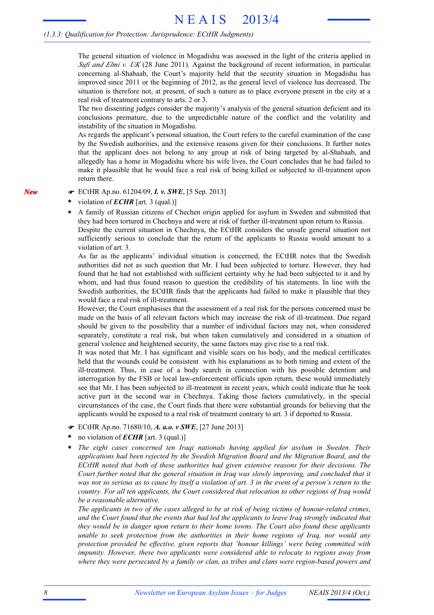# *(1.3.3: Qualification for Protection: Jurisprudence: ECtHR Judgments)*

The general situation of violence in Mogadishu was assessed in the light of the criteria applied in *Sufi and Elmi v. UK* (28 June 2011). Against the background of recent information, in particular concerning al-Shabaab, the Court's majority held that the security situation in Mogadishu has improved since 2011 or the beginning of 2012, as the general level of violence has decreased. The situation is therefore not, at present, of such a nature as to place everyone present in the city at a real risk of treatment contrary to arts. 2 or 3.

The two dissenting judges consider the majority's analysis of the general situation deficient and its conclusions premature, due to the unpredictable nature of the conflict and the volatility and instability of the situation in Mogadishu.

As regards the applicant's personal situation, the Court refers to the careful examination of the case by the Swedish authorities, and the extensive reasons given for their conclusions. It further notes that the applicant does not belong to any group at risk of being targeted by al-Shabaab, and allegedly has a home in Mogadishu where his wife lives, the Court concludes that he had failed to make it plausible that he would face a real risk of being killed or subjected to ill-treatment upon return there.

- F ECtHR Ap.no. 61204/09, *I. v. SWE*, [5 Sep. 2013]
- violation of *ECHR* [art. 3 (qual.)] **\***
- A family of Russian citizens of Chechen origin applied for asylum in Sweden and submitted that they had been tortured in Chechnya and were at risk of further ill-treatment upon return to Russia. **\***

Despite the current situation in Chechnya, the ECtHR considers the unsafe general situation not sufficiently serious to conclude that the return of the applicants to Russia would amount to a violation of art. 3.

As far as the applicants' individual situation is concerned, the ECtHR notes that the Swedish authorities did not as such question that Mr. I had been subjected to torture. However, they had found that he had not established with sufficient certainty why he had been subjected to it and by whom, and had thus found reason to question the credibility of his statements. In line with the Swedish authorities, the ECtHR finds that the applicants had failed to make it plausible that they would face a real risk of ill-treatment.

However, the Court emphasises that the assessment of a real risk for the persons concerned must be made on the basis of all relevant factors which may increase the risk of ill-treatment. Due regard should be given to the possibility that a number of individual factors may not, when considered separately, constitute a real risk, but when taken cumulatively and considered in a situation of general violence and heightened security, the same factors may give rise to a real risk.

It was noted that Mr. I has significant and visible scars on his body, and the medical certificates held that the wounds could be consistent with his explanations as to both timing and extent of the ill-treatment. Thus, in case of a body search in connection with his possible detention and interrogation by the FSB or local law-enforcement officials upon return, these would immediately see that Mr. I has been subjected to ill-treatment in recent years, which could indicate that he took active part in the second war in Chechnya. Taking those factors cumulatively, in the special circumstances of the case, the Court finds that there were substantial grounds for believing that the applicants would be exposed to a real risk of treatment contrary to art. 3 if deported to Russia.

- F ECtHR Ap.no. 71680/10, *A. a.o. v SWE*, [27 June 2013]
- no violation of *ECHR* [art. 3 (qual.)] **\***
- *The eight cases concerned ten Iraqi nationals having applied for asylum in Sweden. Their* **\*** *applications had been rejected by the Swedish Migration Board and the Migration Board, and the ECtHR noted that both of these authorities had given extensive reasons for their decisions. The Court further noted that the general situation in Iraq was slowly improving, and concluded that it* was not so serious as to cause by itself a violation of art. 3 in the event of a person's return to the *country. For all ten applicants, the Court considered that relocation to other regions of Iraq would be a reasonable alternative.*

The applicants in two of the cases alleged to be at risk of being victims of honour-related crimes, and the Court found that the events that had led the applicants to leave Iraq strongly indicated that *they would be in danger upon return to their home towns. The Court also found these applicants unable to seek protection from the authorities in their home regions of Iraq, nor would any protection provided be effective, given reports that 'honour killings' were being committed with impunity. However, these two applicants were considered able to relocate to regions away from where they were persecuted by a family or clan, as tribes and clans were region-based powers and*

*New*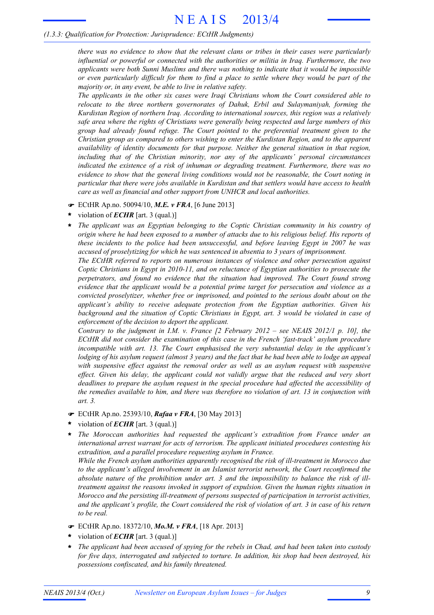# *(1.3.3: Qualification for Protection: Jurisprudence: ECtHR Judgments)*

*there was no evidence to show that the relevant clans or tribes in their cases were particularly influential or powerful or connected with the authorities or militia in Iraq. Furthermore, the two applicants were both Sunni Muslims and there was nothing to indicate that it would be impossible* or even particularly difficult for them to find a place to settle where they would be part of the *majority or, in any event, be able to live in relative safety.*

*The applicants in the other six cases were Iraqi Christians whom the Court considered able to relocate to the three northern governorates of Dahuk, Erbil and Sulaymaniyah, forming the Kurdistan Region of northern Iraq. According to international sources, this region was a relatively safe area where the rights of Christians were generally being respected and large numbers of this group had already found refuge. The Court pointed to the preferential treatment given to the Christian group as compared to others wishing to enter the Kurdistan Region, and to the apparent availability of identity documents for that purpose. Neither the general situation in that region, including that of the Christian minority, nor any of the applicants' personal circumstances indicated the existence of a risk of inhuman or degrading treatment. Furthermore, there was no evidence to show that the general living conditions would not be reasonable, the Court noting in particular that there were jobs available in Kurdistan and that settlers would have access to health care as well as financial and other support from UNHCR and local authorities.*

- F ECtHR Ap.no. 50094/10, *M.E. v FRA*, [6 June 2013]
- violation of *ECHR* [art. 3 (qual.)] **\***
- *The applicant was an Egyptian belonging to the Coptic Christian community in his country of* origin where he had been exposed to a number of attacks due to his religious belief. His reports of *these incidents to the police had been unsuccessful, and before leaving Egypt in 2007 he was accused of proselytizing for which he was sentenced in absentia to 3 years of imprisonment.* **\***

*The ECtHR referred to reports on numerous instances of violence and other persecution against Coptic Christians in Egypt in 2010-11, and on reluctance of Egyptian authorities to prosecute the perpetrators, and found no evidence that the situation had improved. The Court found strong evidence that the applicant would be a potential prime target for persecution and violence as a convicted proselytizer, whether free or imprisoned, and pointed to the serious doubt about on the applicant's ability to receive adequate protection from the Egyptian authorities. Given his background and the situation of Coptic Christians in Egypt, art. 3 would be violated in case of enforcement of the decision to deport the applicant.*

*Contrary to the judgment in I.M. v. France [2 February 2012 – see NEAIS 2012/1 p. 10], the ECtHR did not consider the examination of this case in the French 'fast-track' asylum procedure incompatible with art. 13. The Court emphasised the very substantial delay in the applicant's* lodging of his asylum request (almost 3 years) and the fact that he had been able to lodge an appeal *with suspensive effect against the removal order as well as an asylum request with suspensive effect. Given his delay, the applicant could not validly argue that the reduced and very short deadlines to prepare the asylum request in the special procedure had affected the accessibility of the remedies available to him, and there was therefore no violation of art. 13 in conjunction with art. 3.*

- F ECtHR Ap.no. 25393/10, *Rafaa v FRA*, [30 May 2013]
- violation of *ECHR* [art. 3 (qual.)] **\***
- *The Moroccan authorities had requested the applicant's extradition from France under an international arrest warrant for acts of terrorism. The applicant initiated procedures contesting his extradition, and a parallel procedure requesting asylum in France.* **\***

*While the French asylum authorities apparently recognised the risk of ill-treatment in Morocco due to the applicant's alleged involvement in an Islamist terrorist network, the Court reconfirmed the absolute nature of the prohibition under art. 3 and the impossibility to balance the risk of illtreatment against the reasons invoked in support of expulsion. Given the human rights situation in Morocco and the persisting ill-treatment of persons suspected of participation in terrorist activities,* and the applicant's profile, the Court considered the risk of violation of art. 3 in case of his return *to be real.*

- F ECtHR Ap.no. 18372/10, *Mo.M. v FRA*, [18 Apr. 2013]
- violation of *ECHR* [art. 3 (qual.)] **\***
- *The applicant had been accused of spying for the rebels in Chad, and had been taken into custody for five days, interrogated and subjected to torture. In addition, his shop had been destroyed, his possessions confiscated, and his family threatened.* **\***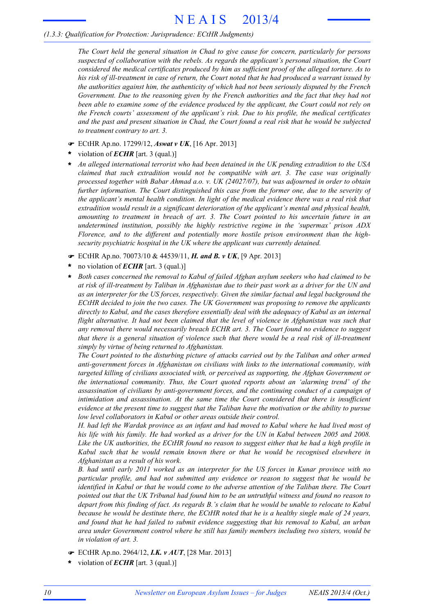# *(1.3.3: Qualification for Protection: Jurisprudence: ECtHR Judgments)*

*The Court held the general situation in Chad to give cause for concern, particularly for persons suspected of collaboration with the rebels. As regards the applicant's personal situation, the Court considered the medical certificates produced by him as sufficient proof of the alleged torture. As to* his risk of ill-treatment in case of return, the Court noted that he had produced a warrant issued by *the authorities against him, the authenticity of which had not been seriously disputed by the French Government. Due to the reasoning given by the French authorities and the fact that they had not been able to examine some of the evidence produced by the applicant, the Court could not rely on the French courts' assessment of the applicant's risk. Due to his profile, the medical certificates* and the past and present situation in Chad, the Court found a real risk that he would be subjected *to treatment contrary to art. 3.*

- F ECtHR Ap.no. 17299/12, *Aswat v UK*, [16 Apr. 2013]
- violation of *ECHR* [art. 3 (qual.)] **\***
- *An alleged international terrorist who had been detained in the UK pending extradition to the USA claimed that such extradition would not be compatible with art. 3. The case was originally processed together with Babar Ahmad a.o. v. UK (24027/07), but was adjourned in order to obtain further information. The Court distinguished this case from the former one, due to the severity of the applicant's mental health condition. In light of the medical evidence there was a real risk that extradition would result in a significant deterioration of the applicant's mental and physical health, amounting to treatment in breach of art. 3. The Court pointed to his uncertain future in an undetermined institution, possibly the highly restrictive regime in the 'supermax' prison ADX Florence, and to the different and potentially more hostile prison environment than the highsecurity psychiatric hospital in the UK where the applicant was currently detained.* **\***
- F ECtHR Ap.no. 70073/10 & 44539/11, *H. and B. v UK*, [9 Apr. 2013]
- no violation of *ECHR* [art. 3 (qual.)] **\***
- *Both cases concerned the removal to Kabul of failed Afghan asylum seekers who had claimed to be* at risk of ill-treatment by Taliban in Afghanistan due to their past work as a driver for the UN and *as an interpreter for the US forces, respectively. Given the similar factual and legal background the ECtHR decided to join the two cases. The UK Government was proposing to remove the applicants directly to Kabul, and the cases therefore essentially deal with the adequacy of Kabul as an internal flight alternative. It had not been claimed that the level of violence in Afghanistan was such that any removal there would necessarily breach ECHR art. 3. The Court found no evidence to suggest* that there is a general situation of violence such that there would be a real risk of ill-treatment *simply by virtue of being returned to Afghanistan.* **\***

*The Court pointed to the disturbing picture of attacks carried out by the Taliban and other armed anti-government forces in Afghanistan on civilians with links to the international community, with targeted killing of civilians associated with, or perceived as supporting, the Afghan Government or the international community. Thus, the Court quoted reports about an 'alarming trend' of the assassination of civilians by anti-government forces, and the continuing conduct of a campaign of intimidation and assassination. At the same time the Court considered that there is insufficient* evidence at the present time to suggest that the Taliban have the motivation or the ability to pursue *low level collaborators in Kabul or other areas outside their control.*

H. had left the Wardak province as an infant and had moved to Kabul where he had lived most of his life with his family. He had worked as a driver for the UN in Kabul between 2005 and 2008. Like the UK authorities, the ECtHR found no reason to suggest either that he had a high profile in *Kabul such that he would remain known there or that he would be recognised elsewhere in Afghanistan as a result of his work.*

*B. had until early 2011 worked as an interpreter for the US forces in Kunar province with no particular profile, and had not submitted any evidence or reason to suggest that he would be identified in Kabul or that he would come to the adverse attention of the Taliban there. The Court* pointed out that the UK Tribunal had found him to be an untruthful witness and found no reason to depart from this finding of fact. As regards B.'s claim that he would be unable to relocate to Kabul because he would be destitute there, the ECtHR noted that he is a healthy single male of 24 years, *and found that he had failed to submit evidence suggesting that his removal to Kabul, an urban area under Government control where he still has family members including two sisters, would be in violation of art. 3.*

- F ECtHR Ap.no. 2964/12, *I.K. v AUT*, [28 Mar. 2013]
- violation of *ECHR* [art. 3 (qual.)] **\***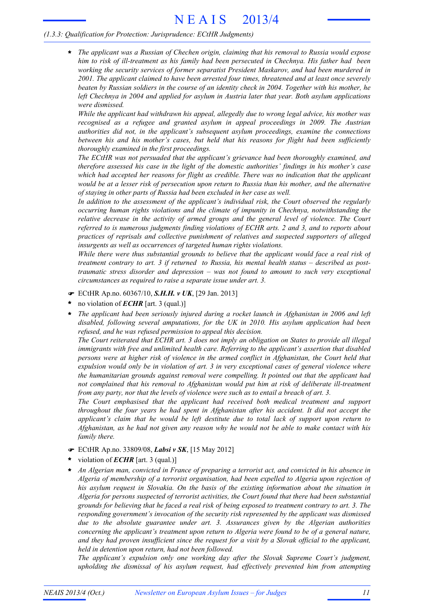# *(1.3.3: Qualification for Protection: Jurisprudence: ECtHR Judgments)*

*The applicant was a Russian of Chechen origin, claiming that his removal to Russia would expose* **\*** *him to risk of ill-treatment as his family had been persecuted in Chechnya. His father had been working the security services of former separatist President Maskarov, and had been murdered in 2001. The applicant claimed to have been arrested four times, threatened and at least once severely* beaten by Russian soldiers in the course of an identity check in 2004. Together with his mother, he *left Chechnya in 2004 and applied for asylum in Austria later that year. Both asylum applications were dismissed.*

*While the applicant had withdrawn his appeal, allegedly due to wrong legal advice, his mother was recognised as a refugee and granted asylum in appeal proceedings in 2009. The Austrian authorities did not, in the applicant's subsequent asylum proceedings, examine the connections between his and his mother's cases, but held that his reasons for flight had been sufficiently thoroughly examined in the first proceedings.*

*The ECtHR was not persuaded that the applicant's grievance had been thoroughly examined, and therefore assessed his case in the light of the domestic authorities' findings in his mother's case which had accepted her reasons for flight as credible. There was no indication that the applicant* would be at a lesser risk of persecution upon return to Russia than his mother, and the alternative *of staying in other parts of Russia had been excluded in her case as well.*

*In addition to the assessment of the applicant's individual risk, the Court observed the regularly occurring human rights violations and the climate of impunity in Chechnya, notwithstanding the relative decrease in the activity of armed groups and the general level of violence. The Court referred to is numerous judgments finding violations of ECHR arts. 2 and 3, and to reports about practices of reprisals and collective punishment of relatives and suspected supporters of alleged insurgents as well as occurrences of targeted human rights violations.*

*While there were thus substantial grounds to believe that the applicant would face a real risk of treatment contrary to art. 3 if returned to Russia, his mental health status – described as posttraumatic stress disorder and depression – was not found to amount to such very exceptional circumstances as required to raise a separate issue under art. 3.*

- F ECtHR Ap.no. 60367/10, *S.H.H. v UK*, [29 Jan. 2013]
- no violation of *ECHR* [art. 3 (qual.)] **\***
- *The applicant had been seriously injured during a rocket launch in Afghanistan in 2006 and left disabled, following several amputations, for the UK in 2010. His asylum application had been refused, and he was refused permission to appeal this decision.* **\***

The Court reiterated that ECHR art. 3 does not imply an obligation on States to provide all illegal *immigrants with free and unlimited health care. Referring to the applicant's assertion that disabled persons were at higher risk of violence in the armed conflict in Afghanistan, the Court held that expulsion would only be in violation of art. 3 in very exceptional cases of general violence where the humanitarian grounds against removal were compelling. It pointed out that the applicant had not complained that his removal to Afghanistan would put him at risk of deliberate ill-treatment from any party, nor that the levels of violence were such as to entail a breach of art. 3.*

*The Court emphasised that the applicant had received both medical treatment and support throughout the four years he had spent in Afghanistan after his accident. It did not accept the applicant's claim that he would be left destitute due to total lack of support upon return to* Afghanistan, as he had not given any reason why he would not be able to make contact with his *family there.*

- F ECtHR Ap.no. 33809/08, *Labsi v SK*, [15 May 2012]
- violation of *ECHR* [art. 3 (qual.)] **\***
- *An Algerian man, convicted in France of preparing a terrorist act, and convicted in his absence in Algeria of membership of a terrorist organisation, had been expelled to Algeria upon rejection of his asylum request in Slovakia. On the basis of the existing information about the situation in Algeria for persons suspected of terrorist activities, the Court found that there had been substantial* grounds for believing that he faced a real risk of being exposed to treatment contrary to art. 3. The *responding government's invocation of the security risk represented by the applicant was dismissed due to the absolute guarantee under art. 3. Assurances given by the Algerian authorities concerning the applicant's treatment upon return to Algeria were found to be of a general nature,* and they had proven insufficient since the request for a visit by a Slovak official to the applicant, *held in detention upon return, had not been followed.* **\***

*The applicant's expulsion only one working day after the Slovak Supreme Court's judgment, upholding the dismissal of his asylum request, had effectively prevented him from attempting*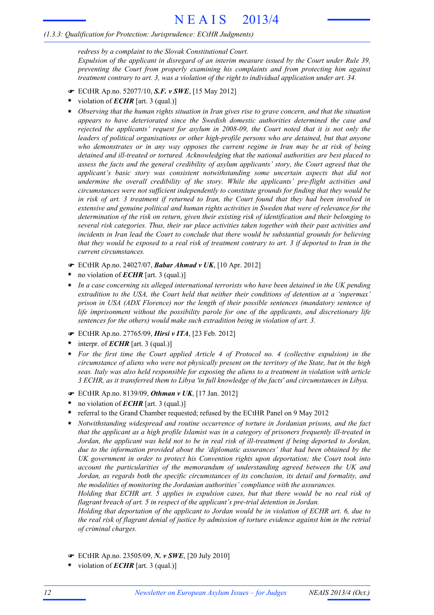# *(1.3.3: Qualification for Protection: Jurisprudence: ECtHR Judgments)*

*redress by a complaint to the Slovak Constitutional Court. Expulsion of the applicant in disregard of an interim measure issued by the Court under Rule 39, preventing the Court from properly examining his complaints and from protecting him against treatment contrary to art. 3, was a violation of the right to individual application under art. 34.*

- F ECtHR Ap.no. 52077/10, *S.F. v SWE*, [15 May 2012]
- violation of *ECHR* [art. 3 (qual.)] **\***
- *Observing that the human rights situation in Iran gives rise to grave concern, and that the situation appears to have deteriorated since the Swedish domestic authorities determined the case and rejected the applicants' request for asylum in 2008-09, the Court noted that it is not only the leaders of political organisations or other high-profile persons who are detained, but that anyone who demonstrates or in any way opposes the current regime in Iran may be at risk of being detained and ill-treated or tortured. Acknowledging that the national authorities are best placed to assess the facts and the general credibility of asylum applicants' story, the Court agreed that the applicant's basic story was consistent notwithstanding some uncertain aspects that did not undermine the overall credibility of the story. While the applicants' pre-flight activities and circumstances were not sufficient independently to constitute grounds for finding that they would be* in risk of art. 3 treatment if returned to Iran, the Court found that they had been involved in *extensive and genuine political and human rights activities in Sweden that were of relevance for the determination of the risk on return, given their existing risk of identification and their belonging to several risk categories. Thus, their sur place activities taken together with their past activities and incidents in Iran lead the Court to conclude that there would be substantial grounds for believing* that they would be exposed to a real risk of treatment contrary to art. 3 if deported to Iran in the *current circumstances.* **\***
- F ECtHR Ap.no. 24027/07, *Babar Ahmad v UK*, [10 Apr. 2012]
- no violation of *ECHR* [art. 3 (qual.)] **\***
- *In a case concerning six alleged international terrorists who have been detained in the UK pending extradition to the USA, the Court held that neither their conditions of detention at a 'supermax' prison in USA (ADX Florence) nor the length of their possible sentences (mandatory sentence of life imprisonment without the possibility parole for one of the applicants, and discretionary life sentences for the others) would make such extradition being in violation of art. 3.* **\***
- F ECtHR Ap.no. 27765/09, *Hirsi v ITA*, [23 Feb. 2012]
- interpr. of *ECHR* [art. 3 (qual.)] **\***
- *For the first time the Court applied Article 4 of Protocol no. 4 (collective expulsion) in the* circumstance of aliens who were not physically present on the territory of the State, but in the high *seas. Italy was also held responsible for exposing the aliens to a treatment in violation with article 3 ECHR, as it transferred them to Libya 'in full knowledge of the facts' and circumstances in Libya.* **\***
- F ECtHR Ap.no. 8139/09, *Othman v UK*, [17 Jan. 2012]
- no violation of *ECHR* [art. 3 (qual.)] **\***
- referral to the Grand Chamber requested; refused by the ECtHR Panel on 9 May 2012 **\***
- *Notwithstanding widespread and routine occurrence of torture in Jordanian prisons, and the fact that the applicant as a high profile Islamist was in a category of prisoners frequently ill-treated in* Jordan, the applicant was held not to be in real risk of ill-treatment if being deported to Jordan, *due to the information provided about the 'diplomatic assurances' that had been obtained by the UK government in order to protect his Convention rights upon deportation; the Court took into account the particularities of the memorandum of understanding agreed between the UK and Jordan, as regards both the specific circumstances of its conclusion, its detail and formality, and the modalities of monitoring the Jordanian authorities' compliance with the assurances.* **\***

*Holding that ECHR art. 5 applies in expulsion cases, but that there would be no real risk of flagrant breach of art. 5 in respect of the applicant's pre-trial detention in Jordan.*

*Holding that deportation of the applicant to Jordan would be in violation of ECHR art. 6, due to* the real risk of flagrant denial of justice by admission of torture evidence against him in the retrial *of criminal charges.*

- F ECtHR Ap.no. 23505/09, *N. v SWE*, [20 July 2010]
- violation of *ECHR* [art. 3 (qual.)] **\***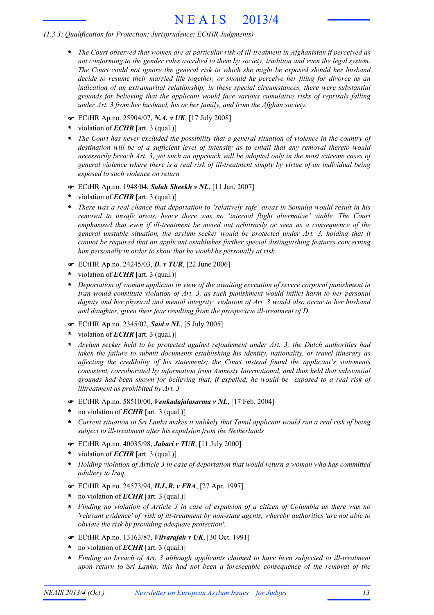# *(1.3.3: Qualification for Protection: Jurisprudence: ECtHR Judgments)*

- *The Court observed that women are at particular risk of ill-treatment in Afghanistan if perceived as not conforming to the gender roles ascribed to them by society, tradition and even the legal system. The Court could not ignore the general risk to which she might be exposed should her husband decide to resume their married life together, or should he perceive her filing for divorce as an indication of an extramarital relationship; in these special circumstances, there were substantial grounds for believing that the applicant would face various cumulative risks of reprisals falling under Art. 3 from her husband, his or her family, and from the Afghan society.* **\***
- F ECtHR Ap.no. 25904/07, *N.A. v UK*, [17 July 2008]
- violation of *ECHR* [art. 3 (qual.)] **\***
- \* The Court has never excluded the possibility that a general situation of violence in the country of *destination will be of a sufficient level of intensity as to entail that any removal thereto would necessarily breach Art. 3, yet such an approach will be adopted only in the most extreme cases of general violence where there is a real risk of ill-treatment simply by virtue of an individual being exposed to such violence on return*
- F ECtHR Ap.no. 1948/04, *Salah Sheekh v NL*, [11 Jan. 2007]
- violation of *ECHR* [art. 3 (qual.)] **\***
- *There was a real chance that deportation to 'relatively safe' areas in Somalia would result in his removal to unsafe areas, hence there was no 'internal flight alternative' viable. The Court emphasised that even if ill-treatment be meted out arbitrarily or seen as a consequence of the general unstable situation, the asylum seeker would be protected under Art. 3, holding that it cannot be required that an applicant establishes further special distinguishing features concerning him personally in order to show that he would be personally at risk.* **\***
- F ECtHR Ap.no. 24245/03, *D. v TUR*, [22 June 2006]
- violation of *ECHR* [art. 3 (qual.)] **\***
- *Deportation of woman applicant in view of the awaiting execution of severe corporal punishment in* **\*** *Iran would constitute violation of Art. 3, as such punishment would inflict harm to her personal dignity and her physical and mental integrity; violation of Art. 3 would also occur to her husband and daughter, given their fear resulting from the prospective ill-treatment of D.*
- F ECtHR Ap.no. 2345/02, *Said v NL*, [5 July 2005]
- violation of *ECHR* [art. 3 (qual.)] **\***
- *Asylum seeker held to be protected against refoulement under Art. 3; the Dutch authorities had taken the failure to submit documents establishing his identity, nationality, or travel itinerary as affecting the credibility of his statements; the Court instead found the applicant's statements consistent, corroborated by information from Amnesty International, and thus held that substantial grounds had been shown for believing that, if expelled, he would be exposed to a real risk of illtreatment as prohibited by Art. 3* **\***
- F ECtHR Ap.no. 58510/00, *Venkadajalasarma v NL*, [17 Feb. 2004]
- no violation of *ECHR* [art. 3 (qual.)] **\***
- Current situation in Sri Lanka makes it unlikely that Tamil applicant would run a real risk of being *subject to ill-treatment after his expulsion from the Netherlands* **\***
- F ECtHR Ap.no. 40035/98, *Jabari v TUR*, [11 July 2000]
- violation of *ECHR* [art. 3 (qual.)] **\***
- \* Holding violation of Article 3 in case of deportation that would return a woman who has committed *adultery to Iraq.*
- F ECtHR Ap.no. 24573/94, *H.L.R. v FRA*, [27 Apr. 1997]
- no violation of *ECHR* [art. 3 (qual.)] **\***
- \* Finding no violation of Article 3 in case of expulsion of a citizen of Columbia as there was no *'relevant evidence' of risk of ill-treatment by non-state agents, whereby authorities 'are not able to obviate the risk by providing adequate protection'.*
- F ECtHR Ap.no. 13163/87, *Vilvarajah v UK*, [30 Oct. 1991]
- no violation of *ECHR* [art. 3 (qual.)] **\***
- *Finding no breach of Art. 3 although applicants claimed to have been subjected to ill-treatment upon return to Sri Lanka; this had not been a foreseeable consequence of the removal of the* **\***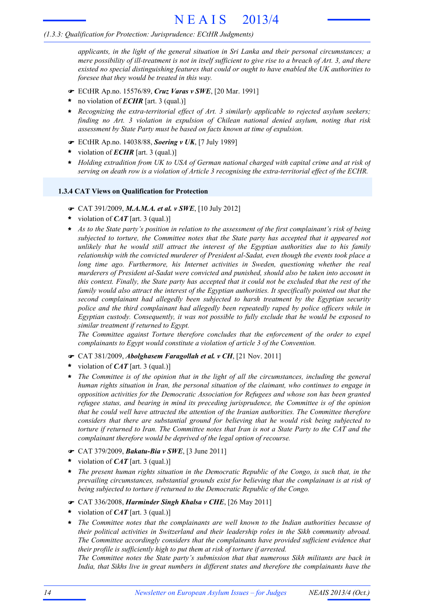# *(1.3.3: Qualification for Protection: Jurisprudence: ECtHR Judgments)*

*applicants, in the light of the general situation in Sri Lanka and their personal circumstances; a* mere possibility of ill-treatment is not in itself sufficient to give rise to a breach of  $Art.$  3, and there *existed no special distinguishing features that could or ought to have enabled the UK authorities to foresee that they would be treated in this way.*

- F ECtHR Ap.no. 15576/89, *Cruz Varas v SWE*, [20 Mar. 1991]
- no violation of *ECHR* [art. 3 (qual.)] **\***
- *Recognizing the extra-territorial effect of Art. 3 similarly applicable to rejected asylum seekers;* **\*** *finding no Art. 3 violation in expulsion of Chilean national denied asylum, noting that risk assessment by State Party must be based on facts known at time of expulsion.*
- F ECtHR Ap.no. 14038/88, *Soering v UK*, [7 July 1989]
- violation of *ECHR* [art. 3 (qual.)] **\***
- *Holding extradition from UK to USA of German national charged with capital crime and at risk of serving on death row is a violation of Article 3 recognising the extra-territorial effect of the ECHR.* **\***

# **1.3.4 CAT Views on Qualification for Protection**

- F CAT 391/2009, *M.A.M.A. et al. v SWE*, [10 July 2012]
- violation of *CAT* [art. 3 (qual.)] **\***
- As to the State party's position in relation to the assessment of the first complainant's risk of being *subjected to torture, the Committee notes that the State party has accepted that it appeared not unlikely that he would still attract the interest of the Egyptian authorities due to his family relationship with the convicted murderer of President al-Sadat, even though the events took place a long time ago. Furthermore, his Internet activities in Sweden, questioning whether the real murderers of President al-Sadat were convicted and punished, should also be taken into account in* this context. Finally, the State party has accepted that it could not be excluded that the rest of the *family would also attract the interest of the Egyptian authorities. It specifically pointed out that the second complainant had allegedly been subjected to harsh treatment by the Egyptian security police and the third complainant had allegedly been repeatedly raped by police officers while in Egyptian custody. Consequently, it was not possible to fully exclude that he would be exposed to similar treatment if returned to Egypt.* **\***

*The Committee against Torture therefore concludes that the enforcement of the order to expel complainants to Egypt would constitute a violation of article 3 of the Convention.*

- F CAT 381/2009, *Abolghasem Faragollah et al. v CH*, [21 Nov. 2011]
- violation of *CAT* [art. 3 (qual.)] **\***
- *The Committee is of the opinion that in the light of all the circumstances, including the general human rights situation in Iran, the personal situation of the claimant, who continues to engage in opposition activities for the Democratic Association for Refugees and whose son has been granted refugee status, and bearing in mind its preceding jurisprudence, the Committee is of the opinion that he could well have attracted the attention of the Iranian authorities. The Committee therefore considers that there are substantial ground for believing that he would risk being subjected to* torture if returned to Iran. The Committee notes that Iran is not a State Party to the CAT and the *complainant therefore would be deprived of the legal option of recourse.* **\***
- F CAT 379/2009, *Bakatu-Bia v SWE*, [3 June 2011]
- violation of *CAT* [art. 3 (qual.)] **\***
- *The present human rights situation in the Democratic Republic of the Congo, is such that, in the prevailing circumstances, substantial grounds exist for believing that the complainant is at risk of being subjected to torture if returned to the Democratic Republic of the Congo.* **\***
- F CAT 336/2008, *Harminder Singh Khalsa v CHE*, [26 May 2011]
- violation of *CAT* [art. 3 (qual.)] **\***
- *The Committee notes that the complainants are well known to the Indian authorities because of their political activities in Switzerland and their leadership roles in the Sikh community abroad. The Committee accordingly considers that the complainants have provided sufficient evidence that their profile is sufficiently high to put them at risk of torture if arrested.* **\***

*The Committee notes the State party's submission that that numerous Sikh militants are back in India, that Sikhs live in great numbers in different states and therefore the complainants have the*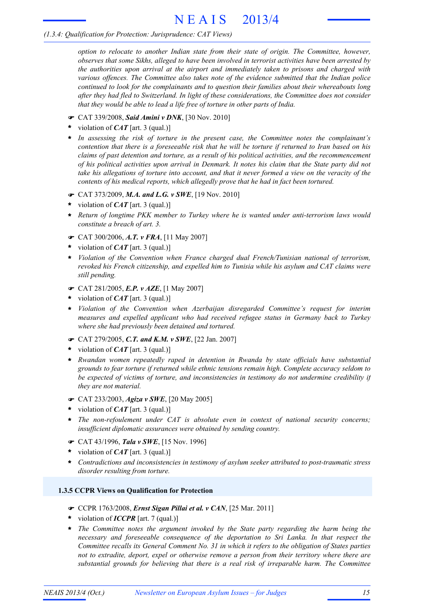# *(1.3.4: Qualification for Protection: Jurisprudence: CAT Views)*

*option to relocate to another Indian state from their state of origin. The Committee, however, observes that some Sikhs, alleged to have been involved in terrorist activities have been arrested by the authorities upon arrival at the airport and immediately taken to prisons and charged with various offences. The Committee also takes note of the evidence submitted that the Indian police continued to look for the complainants and to question their families about their whereabouts long after they had fled to Switzerland. In light of these considerations, the Committee does not consider that they would be able to lead a life free of torture in other parts of India.*

- F CAT 339/2008, *Said Amini v DNK*, [30 Nov. 2010]
- violation of *CAT* [art. 3 (qual.)] **\***
- *In assessing the risk of torture in the present case, the Committee notes the complainant's* **\*** contention that there is a foreseeable risk that he will be torture if returned to Iran based on his *claims of past detention and torture, as a result of his political activities, and the recommencement* of his political activities upon arrival in Denmark. It notes his claim that the State party did not take his allegations of torture into account, and that it never formed a view on the veracity of the *contents of his medical reports, which allegedly prove that he had in fact been tortured.*
- F CAT 373/2009, *M.A. and L.G. v SWE*, [19 Nov. 2010]
- violation of *CAT* [art. 3 (qual.)] **\***
- *Return of longtime PKK member to Turkey where he is wanted under anti-terrorism laws would constitute a breach of art. 3.* **\***
- F CAT 300/2006, *A.T. v FRA*, [11 May 2007]
- violation of *CAT* [art. 3 (qual.)] **\***
- *Violation of the Convention when France charged dual French/Tunisian national of terrorism, revoked his French citizenship, and expelled him to Tunisia while his asylum and CAT claims were still pending.* **\***
- F CAT 281/2005, *E.P. v AZE*, [1 May 2007]
- violation of *CAT* [art. 3 (qual.)] **\***
- *Violation of the Convention when Azerbaijan disregarded Committee's request for interim* **\*** *measures and expelled applicant who had received refugee status in Germany back to Turkey where she had previously been detained and tortured.*
- F CAT 279/2005, *C.T. and K.M. v SWE*, [22 Jan. 2007]
- violation of *CAT* [art. 3 (qual.)] **\***
- *Rwandan women repeatedly raped in detention in Rwanda by state officials have substantial grounds to fear torture if returned while ethnic tensions remain high. Complete accuracy seldom to be expected of victims of torture, and inconsistencies in testimony do not undermine credibility if they are not material.* **\***
- F CAT 233/2003, *Agiza v SWE*, [20 May 2005]
- violation of *CAT* [art. 3 (qual.)] **\***
- *The non-refoulement under CAT is absolute even in context of national security concerns;* **\*** *insufficient diplomatic assurances were obtained by sending country.*
- F CAT 43/1996, *Tala v SWE*, [15 Nov. 1996]
- violation of *CAT* [art. 3 (qual.)] **\***
- *Contradictions and inconsistencies in testimony of asylum seeker attributed to post-traumatic stress disorder resulting from torture.* **\***

## **1.3.5 CCPR Views on Qualification for Protection**

- F CCPR 1763/2008, *Ernst Sigan Pillai et al. v CAN*, [25 Mar. 2011]
- violation of *ICCPR* [art. 7 (qual.)] **\***
- *The Committee notes the argument invoked by the State party regarding the harm being the* **\*** *necessary and foreseeable consequence of the deportation to Sri Lanka. In that respect the Committee recalls its General Comment No. 31 in which it refers to the obligation of States parties not to extradite, deport, expel or otherwise remove a person from their territory where there are substantial grounds for believing that there is a real risk of irreparable harm. The Committee*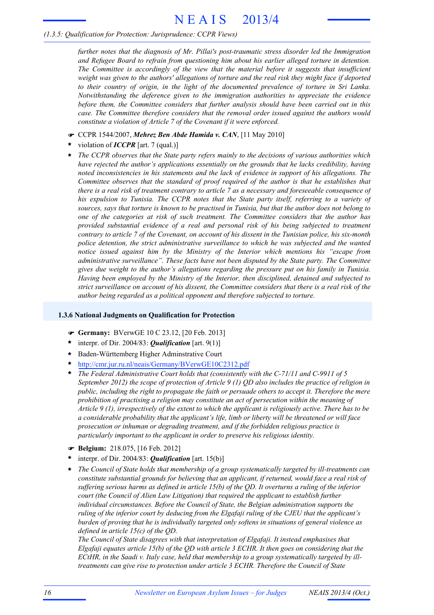# *(1.3.5: Qualification for Protection: Jurisprudence: CCPR Views)*

*further notes that the diagnosis of Mr. Pillai's post-traumatic stress disorder led the Immigration and Refugee Board to refrain from questioning him about his earlier alleged torture in detention. The Committee is accordingly of the view that the material before it suggests that insufficient* weight was given to the authors' allegations of torture and the real risk they might face if deported *to their country of origin, in the light of the documented prevalence of torture in Sri Lanka. Notwithstanding the deference given to the immigration authorities to appreciate the evidence before them, the Committee considers that further analysis should have been carried out in this case. The Committee therefore considers that the removal order issued against the authors would constitute a violation of Article 7 of the Covenant if it were enforced.*

- **<del>●</del>** CCPR 1544/2007, Mehrez Ben Abde Hamida v. CAN, [11 May 2010]
- violation of *ICCPR* [art. 7 (qual.)] **\***
- *The CCPR observes that the State party refers mainly to the decisions of various authorities which have rejected the author's applications essentially on the grounds that he lacks credibility, having noted inconsistencies in his statements and the lack of evidence in support of his allegations. The Committee observes that the standard of proof required of the author is that he establishes that* there is a real risk of treatment contrary to article 7 as a necessary and foreseeable consequence of *his expulsion to Tunisia. The CCPR notes that the State party itself, referring to a variety of* sources, says that torture is known to be practised in Tunisia, but that the author does not belong to *one of the categories at risk of such treatment. The Committee considers that the author has provided substantial evidence of a real and personal risk of his being subjected to treatment* contrary to article 7 of the Covenant, on account of his dissent in the Tunisian police, his six-month *police detention, the strict administrative surveillance to which he was subjected and the wanted notice issued against him by the Ministry of the Interior which mentions his "escape from administrative surveillance". These facts have not been disputed by the State party. The Committee gives due weight to the author's allegations regarding the pressure put on his family in Tunisia. Having been employed by the Ministry of the Interior, then disciplined, detained and subjected to* strict surveillance on account of his dissent, the Committee considers that there is a real risk of the *author being regarded as a political opponent and therefore subjected to torture.* **\***

# **1.3.6 National Judgments on Qualification for Protection**

- F **Germany:** BVerwGE 10 C 23.12, [20 Feb. 2013]
- interpr. of Dir. 2004/83: *Qualification* [art. 9(1)] **\***
- Baden-Württemberg Higher Adminstrative Court **\***
- http://cmr.jur.ru.nl/neais/Germany/BVerwGE10C2312.pdf **\***
- *The Federal Administrative Court holds that (consistently with the C-71/11 and C-9911 of 5 September 2012) the scope of protection of Article 9 (1) QD also includes the practice of religion in public, including the right to propagate the faith or persuade others to accept it. Therefore the mere prohibition of practising a religion may constitute an act of persecution within the meaning of Article 9 (1), irrespectively of the extent to which the applicant is religiously active. There has to be a considerable probability that the applicant's life, limb or liberty will be threatened or will face prosecution or inhuman or degrading treatment, and if the forbidden religious practice is particularly important to the applicant in order to preserve his religious identity.* **\***
- F **Belgium:** 218.075, [16 Feb. 2012]
- interpr. of Dir. 2004/83: *Qualification* [art. 15(b)] **\***
- *The Council of State holds that membership of a group systematically targeted by ill-treatments can constitute substantial grounds for believing that an applicant, if returned, would face a real risk of suffering serious harms as defined in article 15(b) of the QD. It overturns a ruling of the inferior court (the Council of Alien Law Litigation) that required the applicant to establish further individual circumstances. Before the Council of State, the Belgian administration supports the ruling of the inferior court by deducing from the Elgafaji ruling of the CJEU that the applicant's burden of proving that he is individually targeted only softens in situations of general violence as defined in article 15(c) of the QD.* **\***

*The Council of State disagrees with that interpretation of Elgafaji. It instead emphasises that Elgafaji equates article 15(b) of the QD with article 3 ECHR. It then goes on considering that the ECtHR, in the Saadi v. Italy case, held that membership to a group systematically targeted by illtreatments can give rise to protection under article 3 ECHR. Therefore the Council of State*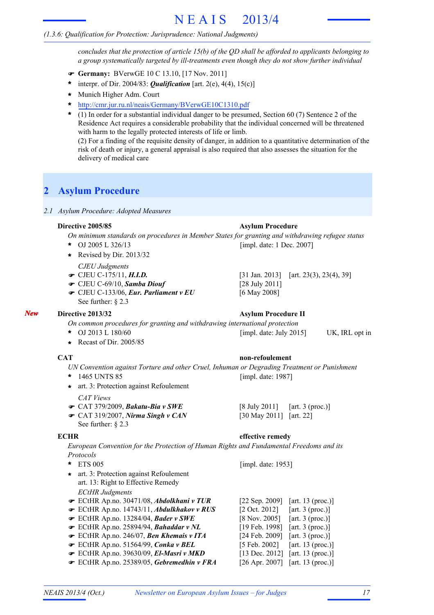# *(1.3.6: Qualification for Protection: Jurisprudence: National Judgments)*

*concludes that the protection of article 15(b) of the QD shall be afforded to applicants belonging to a group systematically targeted by ill-treatments even though they do not show further individual*

- F **Germany:** BVerwGE 10 C 13.10, [17 Nov. 2011]
- interpr. of Dir. 2004/83: *Qualification* [art. 2(e), 4(4), 15(c)] **\***
- Munich Higher Adm. Court **\***

delivery of medical care

http://cmr.jur.ru.nl/neais/Germany/BVerwGE10C1310.pdf **\***

(1) In order for a substantial individual danger to be presumed, Section 60 (7) Sentence 2 of the **\*** Residence Act requires a considerable probability that the individual concerned will be threatened with harm to the legally protected interests of life or limb. (2) For a finding of the requisite density of danger, in addition to a quantitative determination of the risk of death or injury, a general appraisal is also required that also assesses the situation for the

# **2 Asylum Procedure**

# *2.1 Asylum Procedure: Adopted Measures*

# **Directive 2005/85 Asylum Procedure**

*On minimum standards on procedures in Member States for granting and withdrawing refugee status*

- OJ 2005 L 326/13 **\***
- **\*** Revised by Dir. 2013/32
	- *CJEU Judgments*
- CJEU C-175/11, *H.I.D.*
- CJEU C-69/10, *Samba Diouf* [28 July 2011] F
- CJEU C-133/06, *Eur. Parliament v EU* [6 May 2008] F See further: § 2.3

#### *New*

*On common procedures for granting and withdrawing international protection*

**\*** Recast of Dir. 2005/85

# **CAT non-refoulement**

*UN Convention against Torture and other Cruel, Inhuman or Degrading Treatment or Punishment* [impl. date: 1987]

- 1465 UNTS 85 **\***
- **\*** art. 3: Protection against Refoulement
	- *CAT Views*
- **CAT 379/2009,** *Bakatu-Bia v SWE* [8 July 2011] [art. 3 (proc.)]
- CAT 319/2007, *Nirma Singh v CAN* [30 May 2011] [art. 22] F See further: § 2.3

**ECHR effective remedy**

*European Convention for the Protection of Human Rights and Fundamental Freedoms and its Protocols*

- ETS 005 **\*** *ECtHR Judgments* ECtHR Ap.no. 30471/08, *Abdolkhani v TUR* [22 Sep. 2009] [art. 13 (proc.)] F **►** ECtHR Ap.no. 14743/11, *Abdulkhakov v RUS* [2 Oct. 2012] [art. 3 (proc.)] **■** ECtHR Ap.no. 13284/04, *Bader v SWE* [8 Nov. 2005] [art. 3 (proc.)] **■** ECtHR Ap.no. 25894/94, *Bahaddar v NL* [19 Feb. 1998] [art. 3 (proc.)] **■** ECtHR Ap.no. 246/07, *Ben Khemais v ITA* [24 Feb. 2009] [art. 3 (proc.)] **■** ECtHR Ap.no. 51564/99, *Conka v BEL* [5 Feb. 2002] [art. 13 (proc.)] [impl. date: 1953] art. 3: Protection against Refoulement **\*** art. 13: Right to Effective Remedy
- **■** ECtHR Ap.no. 39630/09, *El-Masri v MKD* [13 Dec. 2012] [art. 13 (proc.)]
- ECtHR Ap.no. 25389/05, *Gebremedhin v FRA* [26 Apr. 2007] [art. 13 (proc.)] F

[impl. date: 1 Dec. 2007]

[31 Jan. 2013] [art. 23(3), 23(4), 39]

**Directive 2013/32 Asylum Procedure II**

OJ 2013 L 180/60 UK, IRL opt in **\*** [impl. date: July 2015]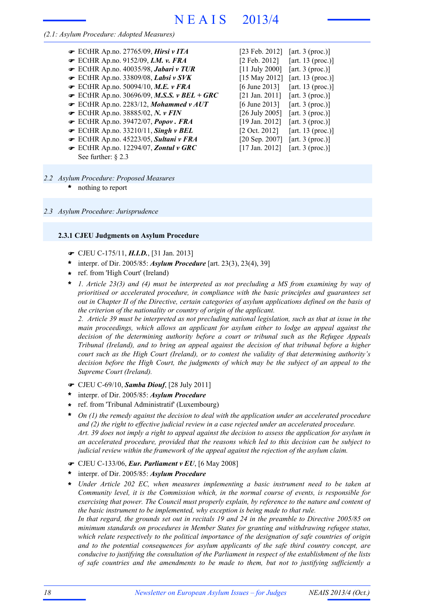## *(2.1: Asylum Procedure: Adopted Measures)*

| $\bullet$ ECtHR Ap.no. 27765/09, Hirsi v ITA                    | [23 Feb. 2012]            | [art. $3$ (proc.)] |
|-----------------------------------------------------------------|---------------------------|--------------------|
| F ECtHR Ap.no. 9152/09, I.M. v. FRA                             | $[2 \text{ Feb. } 2012]$  | [art. 13 (proc.)]  |
| ECtHR Ap.no. 40035/98, Jabari v TUR                             | $[11$ July 2000]          | [art. 3 (proc.)]   |
| ECtHR Ap.no. 33809/08, Labsi v SVK                              | [15 May 2012]             | [art. 13 (proc.)]  |
| $\bullet$ ECtHR Ap.no. 50094/10, M.E. v FRA                     | [6 June 2013]             | [art. 13 (proc.)]  |
| $\blacktriangleright$ ECtHR Ap.no. 30696/09, M.S.S. v BEL + GRC | $[21 \text{ Jan. } 2011]$ | [art. 3 (proc.)]   |
| ECtHR Ap.no. 2283/12, Mohammed v AUT                            | [6 June 2013]             | [art. 3 (proc.)]   |
| $\blacktriangleright$ ECtHR Ap.no. 38885/02, N. v FIN           | $[26$ July 2005]          | [art. $3$ (proc.)] |
| $\bullet$ ECtHR Ap.no. 39472/07, <i>Popov</i> . FRA             | $[19 \text{ Jan. } 2012]$ | [art. $3$ (proc.)] |
| $\bullet$ ECtHR Ap.no. 33210/11, Singh v BEL                    | $[2 \text{ Oct. } 2012]$  | [art. 13 (proc.)]  |
| ECtHR Ap.no. 45223/05, Sultani v FRA                            | [20 Sep. 2007]            | [art. $3$ (proc.)] |
| $\bullet$ ECtHR Ap.no. 12294/07, Zontul v GRC                   | $[17 \text{ Jan. } 2012]$ | [art. $3$ (proc.)] |
| $\alpha$ $\alpha$ $\alpha$ $\alpha$ $\alpha$                    |                           |                    |

- See further: § 2.3
	-

# *2.2 Asylum Procedure: Proposed Measures*

nothing to report **\***

# *2.3 Asylum Procedure: Jurisprudence*

# **2.3.1 CJEU Judgments on Asylum Procedure**

- F CJEU C-175/11, *H.I.D.*, [31 Jan. 2013]
- interpr. of Dir. 2005/85: *Asylum Procedure* [art. 23(3), 23(4), 39] **\***
- ref. from 'High Court' (Ireland) **\***
- \* 1. Article 23(3) and (4) must be interpreted as not precluding a MS from examining by way of *prioritised or accelerated procedure, in compliance with the basic principles and guarantees set out in Chapter II of the Directive, certain categories of asylum applications defined on the basis of the criterion of the nationality or country of origin of the applicant.*

2. Article 39 must be interpreted as not precluding national legislation, such as that at issue in the *main proceedings, which allows an applicant for asylum either to lodge an appeal against the decision of the determining authority before a court or tribunal such as the Refugee Appeals Tribunal (Ireland), and to bring an appeal against the decision of that tribunal before a higher court such as the High Court (Ireland), or to contest the validity of that determining authority's decision before the High Court, the judgments of which may be the subject of an appeal to the Supreme Court (Ireland).*

- F CJEU C-69/10, *Samba Diouf*, [28 July 2011]
- interpr. of Dir. 2005/85: *Asylum Procedure* **\***
- ref. from 'Tribunal Administratif' (Luxembourg) **\***
- *On (1) the remedy against the decision to deal with the application under an accelerated procedure and (2) the right to effective judicial review in a case rejected under an accelerated procedure.* Art. 39 does not imply a right to appeal against the decision to assess the application for asylum in *an accelerated procedure, provided that the reasons which led to this decision can be subject to judicial review within the framework of the appeal against the rejection of the asylum claim.* **\***
- F CJEU C-133/06, *Eur. Parliament v EU*, [6 May 2008]
- interpr. of Dir. 2005/85: *Asylum Procedure* **\***
- *Under Article 202 EC, when measures implementing a basic instrument need to be taken at Community level, it is the Commission which, in the normal course of events, is responsible for exercising that power. The Council must properly explain, by reference to the nature and content of the basic instrument to be implemented, why exception is being made to that rule.* **\***

In that regard, the grounds set out in recitals 19 and 24 in the preamble to Directive 2005/85 on *minimum standards on procedures in Member States for granting and withdrawing refugee status, which relate respectively to the political importance of the designation of safe countries of origin and to the potential consequences for asylum applicants of the safe third country concept, are conducive to justifying the consultation of the Parliament in respect of the establishment of the lists of safe countries and the amendments to be made to them, but not to justifying sufficiently a*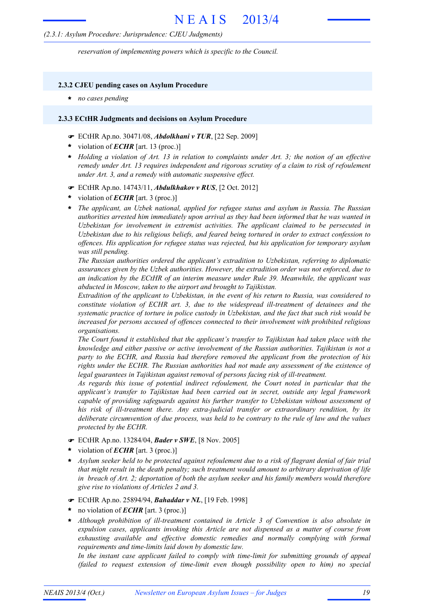*reservation of implementing powers which is specific to the Council.*

## **2.3.2 CJEU pending cases on Asylum Procedure**

**\*** *no cases pending*

#### **2.3.3 ECtHR Judgments and decisions on Asylum Procedure**

- F ECtHR Ap.no. 30471/08, *Abdolkhani v TUR*, [22 Sep. 2009]
- violation of *ECHR* [art. 13 (proc.)] **\***
- \* Holding a violation of Art. 13 in relation to complaints under Art. 3; the notion of an effective *remedy under Art. 13 requires independent and rigorous scrutiny of a claim to risk of refoulement under Art. 3, and a remedy with automatic suspensive effect.*
- F ECtHR Ap.no. 14743/11, *Abdulkhakov v RUS*, [2 Oct. 2012]
- violation of *ECHR* [art. 3 (proc.)] **\***
- *The applicant, an Uzbek national, applied for refugee status and asylum in Russia. The Russian authorities arrested him immediately upon arrival as they had been informed that he was wanted in Uzbekistan for involvement in extremist activities. The applicant claimed to be persecuted in Uzbekistan due to his religious beliefs, and feared being tortured in order to extract confession to offences. His application for refugee status was rejected, but his application for temporary asylum was still pending.* **\***

*The Russian authorities ordered the applicant's extradition to Uzbekistan, referring to diplomatic assurances given by the Uzbek authorities. However, the extradition order was not enforced, due to an indication by the ECtHR of an interim measure under Rule 39. Meanwhile, the applicant was abducted in Moscow, taken to the airport and brought to Tajikistan.*

*Extradition of the applicant to Uzbekistan, in the event of his return to Russia, was considered to constitute violation of ECHR art. 3, due to the widespread ill-treatment of detainees and the systematic practice of torture in police custody in Uzbekistan, and the fact that such risk would be increased for persons accused of offences connected to their involvement with prohibited religious organisations.*

*The Court found it established that the applicant's transfer to Tajikistan had taken place with the knowledge and either passive or active involvement of the Russian authorities. Tajikistan is not a party to the ECHR, and Russia had therefore removed the applicant from the protection of his rights under the ECHR. The Russian authorities had not made any assessment of the existence of legal guarantees in Tajikistan against removal of persons facing risk of ill-treatment.*

*As regards this issue of potential indirect refoulement, the Court noted in particular that the applicant's transfer to Tajikistan had been carried out in secret, outside any legal framework capable of providing safeguards against his further transfer to Uzbekistan without assessment of his risk of ill-treatment there. Any extra-judicial transfer or extraordinary rendition, by its deliberate circumvention of due process, was held to be contrary to the rule of law and the values protected by the ECHR.*

- F ECtHR Ap.no. 13284/04, *Bader v SWE*, [8 Nov. 2005]
- violation of *ECHR* [art. 3 (proc.)] **\***
- Asylum seeker held to be protected against refoulement due to a risk of flagrant denial of fair trial *that might result in the death penalty; such treatment would amount to arbitrary deprivation of life in breach of Art. 2; deportation of both the asylum seeker and his family members would therefore give rise to violations of Articles 2 and 3.* **\***
- F ECtHR Ap.no. 25894/94, *Bahaddar v NL*, [19 Feb. 1998]
- no violation of *ECHR* [art. 3 (proc.)] **\***
- *Although prohibition of ill-treatment contained in Article 3 of Convention is also absolute in expulsion cases, applicants invoking this Article are not dispensed as a matter of course from exhausting available and effective domestic remedies and normally complying with formal requirements and time-limits laid down by domestic law.* **\***

*In the instant case applicant failed to comply with time-limit for submitting grounds of appeal (failed to request extension of time-limit even though possibility open to him) no special*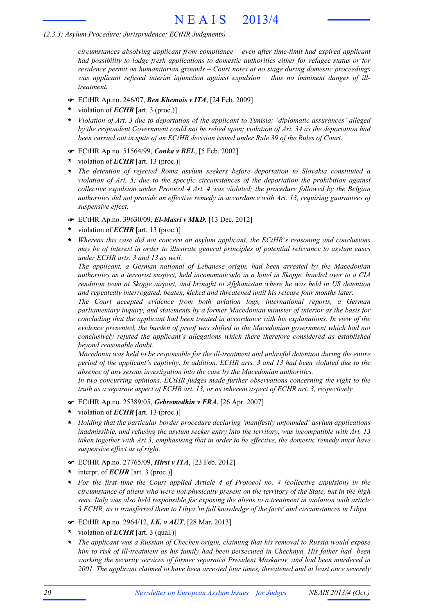*circumstances absolving applicant from compliance – even after time-limit had expired applicant had possibility to lodge fresh applications to domestic authorities either for refugee status or for residence permit on humanitarian grounds – Court notes at no stage during domestic proceedings was applicant refused interim injunction against expulsion – thus no imminent danger of illtreatment.*

- F ECtHR Ap.no. 246/07, *Ben Khemais v ITA*, [24 Feb. 2009]
- violation of *ECHR* [art. 3 (proc.)] **\***
- *Violation of Art. 3 due to deportation of the applicant to Tunisia; 'diplomatic assurances' alleged* **\*** *by the respondent Government could not be relied upon; violation of Art. 34 as the deportation had been carried out in spite of an ECtHR decision issued under Rule 39 of the Rules of Court.*
- F ECtHR Ap.no. 51564/99, *Conka v BEL*, [5 Feb. 2002]
- violation of *ECHR* [art. 13 (proc.)] **\***
- *The detention of rejected Roma asylum seekers before deportation to Slovakia constituted a* **\*** *violation of Art. 5; due to the specific circumstances of the deportation the prohibition against collective expulsion under Protocol 4 Art. 4 was violated; the procedure followed by the Belgian authorities did not provide an effective remedy in accordance with Art. 13, requiring guarantees of suspensive effect.*
- F ECtHR Ap.no. 39630/09, *El-Masri v MKD*, [13 Dec. 2012]
- violation of *ECHR* [art. 13 (proc.)] **\***
- *Whereas this case did not concern an asylum applicant, the ECtHR's reasoning and conclusions may be of interest in order to illustrate general principles of potential relevance to asylum cases under ECHR arts. 3 and 13 as well.* **\***

*The applicant, a German national of Lebanese origin, had been arrested by the Macedonian authorities as a terrorist suspect, held incommunicado in a hotel in Skopje, handed over to a CIA rendition team at Skopje airport, and brought to Afghanistan where he was held in US detention and repeatedly interrogated, beaten, kicked and threatened until his release four months later.*

*The Court accepted evidence from both aviation logs, international reports, a German parliamentary inquiry, and statements by a former Macedonian minister of interior as the basis for concluding that the applicant had been treated in accordance with his explanations. In view of the evidence presented, the burden of proof was shifted to the Macedonian government which had not conclusively refuted the applicant's allegations which there therefore considered as established beyond reasonable doubt.*

*Macedonia was held to be responsible for the ill-treatment and unlawful detention during the entire period of the applicant's captivity. In addition, ECHR arts. 3 and 13 had been violated due to the absence of any serous investigation into the case by the Macedonian authorities.*

*In two concurring opinions, ECtHR judges made further observations concerning the right to the truth as a separate aspect of ECHR art. 13, or as inherent aspect of ECHR art. 3, respectively.*

- F ECtHR Ap.no. 25389/05, *Gebremedhin v FRA*, [26 Apr. 2007]
- violation of *ECHR* [art. 13 (proc.)] **\***
- *Holding that the particular border procedure declaring 'manifestly unfounded' asylum applications inadmissible, and refusing the asylum seeker entry into the territory, was incompatible with Art. 13 taken together with Art.3; emphasising that in order to be effective, the domestic remedy must have suspensive effect as of right.* **\***
- F ECtHR Ap.no. 27765/09, *Hirsi v ITA*, [23 Feb. 2012]
- interpr. of *ECHR* [art. 3 (proc.)] **\***
- *For the first time the Court applied Article 4 of Protocol no. 4 (collective expulsion) in the* **\*** circumstance of aliens who were not physically present on the territory of the State, but in the high *seas. Italy was also held responsible for exposing the aliens to a treatment in violation with article 3 ECHR, as it transferred them to Libya 'in full knowledge of the facts' and circumstances in Libya.*
- F ECtHR Ap.no. 2964/12, *I.K. v AUT*, [28 Mar. 2013]
- violation of *ECHR* [art. 3 (qual.)] **\***
- *The applicant was a Russian of Chechen origin, claiming that his removal to Russia would expose him to risk of ill-treatment as his family had been persecuted in Chechnya. His father had been working the security services of former separatist President Maskarov, and had been murdered in 2001. The applicant claimed to have been arrested four times, threatened and at least once severely* **\***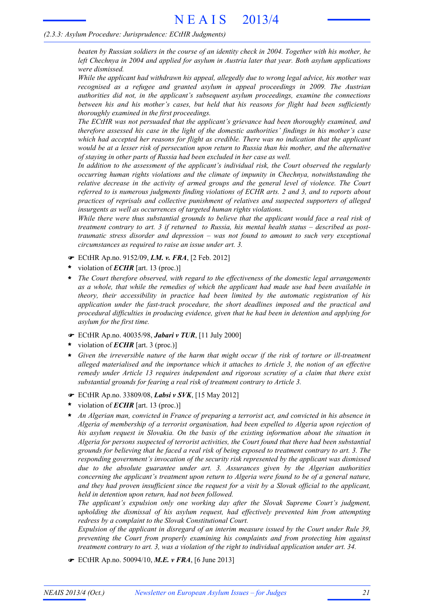beaten by Russian soldiers in the course of an identity check in 2004. Together with his mother, he *left Chechnya in 2004 and applied for asylum in Austria later that year. Both asylum applications were dismissed.*

*While the applicant had withdrawn his appeal, allegedly due to wrong legal advice, his mother was recognised as a refugee and granted asylum in appeal proceedings in 2009. The Austrian authorities did not, in the applicant's subsequent asylum proceedings, examine the connections between his and his mother's cases, but held that his reasons for flight had been sufficiently thoroughly examined in the first proceedings.*

*The ECtHR was not persuaded that the applicant's grievance had been thoroughly examined, and therefore assessed his case in the light of the domestic authorities' findings in his mother's case which had accepted her reasons for flight as credible. There was no indication that the applicant* would be at a lesser risk of persecution upon return to Russia than his mother, and the alternative *of staying in other parts of Russia had been excluded in her case as well.*

*In addition to the assessment of the applicant's individual risk, the Court observed the regularly occurring human rights violations and the climate of impunity in Chechnya, notwithstanding the relative decrease in the activity of armed groups and the general level of violence. The Court referred to is numerous judgments finding violations of ECHR arts. 2 and 3, and to reports about practices of reprisals and collective punishment of relatives and suspected supporters of alleged insurgents as well as occurrences of targeted human rights violations.*

*While there were thus substantial grounds to believe that the applicant would face a real risk of treatment contrary to art. 3 if returned to Russia, his mental health status – described as posttraumatic stress disorder and depression – was not found to amount to such very exceptional circumstances as required to raise an issue under art. 3.*

- F ECtHR Ap.no. 9152/09, *I.M. v. FRA*, [2 Feb. 2012]
- violation of *ECHR* [art. 13 (proc.)] **\***
- *The Court therefore observed, with regard to the effectiveness of the domestic legal arrangements as a whole, that while the remedies of which the applicant had made use had been available in theory, their accessibility in practice had been limited by the automatic registration of his application under the fast-track procedure, the short deadlines imposed and the practical and procedural difficulties in producing evidence, given that he had been in detention and applying for asylum for the first time.* **\***
- F ECtHR Ap.no. 40035/98, *Jabari v TUR*, [11 July 2000]
- violation of *ECHR* [art. 3 (proc.)] **\***
- *Given the irreversible nature of the harm that might occur if the risk of torture or ill-treatment alleged materialised and the importance which it attaches to Article 3, the notion of an effective remedy under Article 13 requires independent and rigorous scrutiny of a claim that there exist substantial grounds for fearing a real risk of treatment contrary to Article 3.* **\***
- F ECtHR Ap.no. 33809/08, *Labsi v SVK*, [15 May 2012]
- violation of *ECHR* [art. 13 (proc.)] **\***
- *An Algerian man, convicted in France of preparing a terrorist act, and convicted in his absence in Algeria of membership of a terrorist organisation, had been expelled to Algeria upon rejection of his asylum request in Slovakia. On the basis of the existing information about the situation in Algeria for persons suspected of terrorist activities, the Court found that there had been substantial* grounds for believing that he faced a real risk of being exposed to treatment contrary to art. 3. The *responding government's invocation of the security risk represented by the applicant was dismissed due to the absolute guarantee under art. 3. Assurances given by the Algerian authorities concerning the applicant's treatment upon return to Algeria were found to be of a general nature,* and they had proven insufficient since the request for a visit by a Slovak official to the applicant, *held in detention upon return, had not been followed.* **\***

*The applicant's expulsion only one working day after the Slovak Supreme Court's judgment, upholding the dismissal of his asylum request, had effectively prevented him from attempting redress by a complaint to the Slovak Constitutional Court.*

*Expulsion of the applicant in disregard of an interim measure issued by the Court under Rule 39, preventing the Court from properly examining his complaints and from protecting him against treatment contrary to art. 3, was a violation of the right to individual application under art. 34.*

F ECtHR Ap.no. 50094/10, *M.E. v FRA*, [6 June 2013]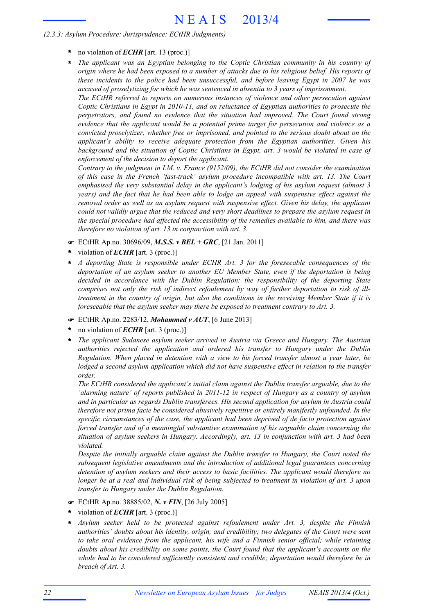- **\*** no violation of *ECHR* [art. 13 (proc.)]
- *The applicant was an Egyptian belonging to the Coptic Christian community in his country of* origin where he had been exposed to a number of attacks due to his religious belief. His reports of *these incidents to the police had been unsuccessful, and before leaving Egypt in 2007 he was accused of proselytizing for which he was sentenced in absentia to 3 years of imprisonment.* **\***

*The ECtHR referred to reports on numerous instances of violence and other persecution against Coptic Christians in Egypt in 2010-11, and on reluctance of Egyptian authorities to prosecute the perpetrators, and found no evidence that the situation had improved. The Court found strong evidence that the applicant would be a potential prime target for persecution and violence as a convicted proselytizer, whether free or imprisoned, and pointed to the serious doubt about on the applicant's ability to receive adequate protection from the Egyptian authorities. Given his background and the situation of Coptic Christians in Egypt, art. 3 would be violated in case of enforcement of the decision to deport the applicant.*

*Contrary to the judgment in I.M. v. France (9152/09), the ECtHR did not consider the examination of this case in the French 'fast-track' asylum procedure incompatible with art. 13. The Court emphasised the very substantial delay in the applicant's lodging of his asylum request (almost 3 years) and the fact that he had been able to lodge an appeal with suspensive effect against the removal order as well as an asylum request with suspensive effect. Given his delay, the applicant could not validly argue that the reduced and very short deadlines to prepare the asylum request in the special procedure had affected the accessibility of the remedies available to him, and there was therefore no violation of art. 13 in conjunction with art. 3.*

- F ECtHR Ap.no. 30696/09, *M.S.S. v BEL + GRC*, [21 Jan. 2011]
- violation of *ECHR* [art. 3 (proc.)] **\***
- *A deporting State is responsible under ECHR Art. 3 for the foreseeable consequences of the deportation of an asylum seeker to another EU Member State, even if the deportation is being decided in accordance with the Dublin Regulation; the responsibility of the deporting State comprises not only the risk of indirect refoulement by way of further deportation to risk of illtreatment in the country of origin, but also the conditions in the receiving Member State if it is foreseeable that the asylum seeker may there be exposed to treatment contrary to Art. 3.* **\***
- F ECtHR Ap.no. 2283/12, *Mohammed v AUT*, [6 June 2013]
- no violation of *ECHR* [art. 3 (proc.)] **\***
- *The applicant Sudanese asylum seeker arrived in Austria via Greece and Hungary. The Austrian authorities rejected the application and ordered his transfer to Hungary under the Dublin Regulation. When placed in detention with a view to his forced transfer almost a year later, he lodged a second asylum application which did not have suspensive effect in relation to the transfer order.* **\***

*The ECtHR considered the applicant's initial claim against the Dublin transfer arguable, due to the 'alarming nature' of reports published in 2011-12 in respect of Hungary as a country of asylum and in particular as regards Dublin transferees. His second application for asylum in Austria could therefore not prima facie be considered abusively repetitive or entirely manifestly unfounded. In the specific circumstances of the case, the applicant had been deprived of de facto protection against forced transfer and of a meaningful substantive examination of his arguable claim concerning the situation of asylum seekers in Hungary. Accordingly, art. 13 in conjunction with art. 3 had been violated.*

*Despite the initially arguable claim against the Dublin transfer to Hungary, the Court noted the subsequent legislative amendments and the introduction of additional legal guarantees concerning detention of asylum seekers and their access to basic facilities. The applicant would therefore no* longer be at a real and individual risk of being subjected to treatment in violation of art. 3 upon *transfer to Hungary under the Dublin Regulation.*

- F ECtHR Ap.no. 38885/02, *N. v FIN*, [26 July 2005]
- violation of *ECHR* [art. 3 (proc.)] **\***
- *Asylum seeker held to be protected against refoulement under Art. 3, despite the Finnish authorities' doubts about his identity, origin, and credibility; two delegates of the Court were sent to take oral evidence from the applicant, his wife and a Finnish senior official; while retaining doubts about his credibility on some points, the Court found that the applicant's accounts on the whole had to be considered sufficiently consistent and credible; deportation would therefore be in breach of Art. 3.* **\***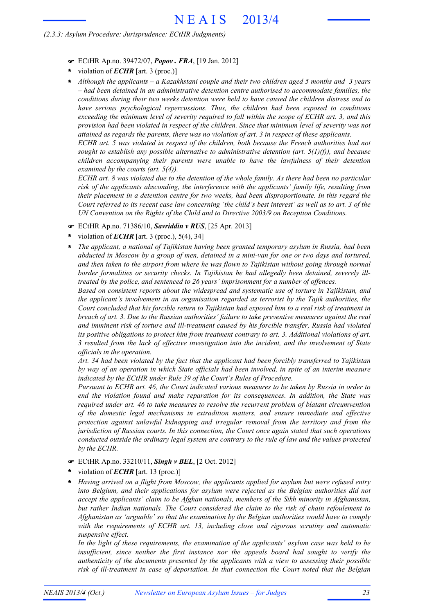- F ECtHR Ap.no. 39472/07, *Popov . FRA*, [19 Jan. 2012]
- violation of *ECHR* [art. 3 (proc.)] **\***
- *Although the applicants – a Kazakhstani couple and their two children aged 5 months and 3 years – had been detained in an administrative detention centre authorised to accommodate families, the conditions during their two weeks detention were held to have caused the children distress and to have serious psychological repercussions. Thus, the children had been exposed to conditions exceeding the minimum level of severity required to fall within the scope of ECHR art. 3, and this provision had been violated in respect of the children. Since that minimum level of severity was not attained as regards the parents, there was no violation of art. 3 in respect of these applicants.* **\***

*ECHR art. 5 was violated in respect of the children, both because the French authorities had not sought to establish any possible alternative to administrative detention (art. 5(1)(f)), and because children accompanying their parents were unable to have the lawfulness of their detention examined by the courts (art. 5(4)).*

ECHR art. 8 was violated due to the detention of the whole family. As there had been no particular *risk of the applicants absconding, the interference with the applicants' family life, resulting from their placement in a detention centre for two weeks, had been disproportionate. In this regard the* Court referred to its recent case law concerning 'the child's best interest' as well as to art. 3 of the *UN Convention on the Rights of the Child and to Directive 2003/9 on Reception Conditions.*

- F ECtHR Ap.no. 71386/10, *Savriddin v RUS*, [25 Apr. 2013]
- violation of *ECHR* [art. 3 (proc.), 5(4), 34] **\***
- *The applicant, a national of Tajikistan having been granted temporary asylum in Russia, had been* abducted in Moscow by a group of men, detained in a mini-van for one or two days and tortured, *and then taken to the airport from where he was flown to Tajikistan without going through normal border formalities or security checks. In Tajikistan he had allegedly been detained, severely illtreated by the police, and sentenced to 26 years' imprisonment for a number of offences.* **\***

*Based on consistent reports about the widespread and systematic use of torture in Tajikistan, and the applicant's involvement in an organisation regarded as terrorist by the Tajik authorities, the* Court concluded that his forcible return to Tajikistan had exposed him to a real risk of treatment in *breach of art. 3. Due to the Russian authorities' failure to take preventive measures against the real and imminent risk of torture and ill-treatment caused by his forcible transfer, Russia had violated its positive obligations to protect him from treatment contrary to art. 3. Additional violations of art. 3 resulted from the lack of effective investigation into the incident, and the involvement of State officials in the operation.*

*Art. 34 had been violated by the fact that the applicant had been forcibly transferred to Tajikistan by way of an operation in which State officials had been involved, in spite of an interim measure indicated by the ECtHR under Rule 39 of the Court's Rules of Procedure.*

*Pursuant to ECHR art. 46, the Court indicated various measures to be taken by Russia in order to end the violation found and make reparation for its consequences. In addition, the State was required under art. 46 to take measures to resolve the recurrent problem of blatant circumvention of the domestic legal mechanisms in extradition matters, and ensure immediate and effective protection against unlawful kidnapping and irregular removal from the territory and from the jurisdiction of Russian courts. In this connection, the Court once again stated that such operations conducted outside the ordinary legal system are contrary to the rule of law and the values protected by the ECHR.*

- F ECtHR Ap.no. 33210/11, *Singh v BEL*, [2 Oct. 2012]
- violation of *ECHR* [art. 13 (proc.)] **\***
- *Having arrived on a flight from Moscow, the applicants applied for asylum but were refused entry into Belgium, and their applications for asylum were rejected as the Belgian authorities did not accept the applicants' claim to be Afghan nationals, members of the Sikh minority in Afghanistan, but rather Indian nationals. The Court considered the claim to the risk of chain refoulement to Afghanistan as 'arguable' so that the examination by the Belgian authorities would have to comply with the requirements of ECHR art. 13, including close and rigorous scrutiny and automatic suspensive effect.* **\***

*In the light of these requirements, the examination of the applicants' asylum case was held to be insufficient, since neither the first instance nor the appeals board had sought to verify the authenticity of the documents presented by the applicants with a view to assessing their possible risk of ill-treatment in case of deportation. In that connection the Court noted that the Belgian*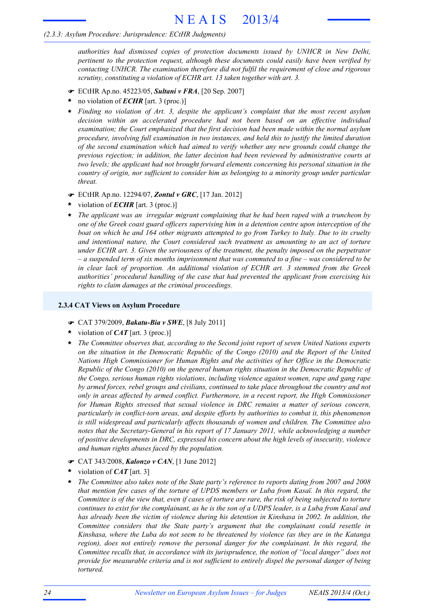*authorities had dismissed copies of protection documents issued by UNHCR in New Delhi, pertinent to the protection request, although these documents could easily have been verified by contacting UNHCR. The examination therefore did not fulfil the requirement of close and rigorous scrutiny, constituting a violation of ECHR art. 13 taken together with art. 3.*

- F ECtHR Ap.no. 45223/05, *Sultani v FRA*, [20 Sep. 2007]
- no violation of *ECHR* [art. 3 (proc.)] **\***
- *Finding no violation of Art. 3, despite the applicant's complaint that the most recent asylum decision within an accelerated procedure had not been based on an effective individual examination; the Court emphasized that the first decision had been made within the normal asylum procedure, involving full examination in two instances, and held this to justify the limited duration of the second examination which had aimed to verify whether any new grounds could change the previous rejection; in addition, the latter decision had been reviewed by administrative courts at two levels; the applicant had not brought forward elements concerning his personal situation in the country of origin, nor sufficient to consider him as belonging to a minority group under particular threat.* **\***
- F ECtHR Ap.no. 12294/07, *Zontul v GRC*, [17 Jan. 2012]
- violation of *ECHR* [art. 3 (proc.)] **\***
- *The applicant was an irregular migrant complaining that he had been raped with a truncheon by one of the Greek coast guard officers supervising him in a detention centre upon interception of the* boat on which he and 164 other migrants attempted to go from Turkey to Italy. Due to its cruelty *and intentional nature, the Court considered such treatment as amounting to an act of torture under ECHR art. 3. Given the seriousness of the treatment, the penalty imposed on the perpetrator*  $-a$  suspended term of six months imprisonment that was commuted to a fine – was considered to be *in clear lack of proportion. An additional violation of ECHR art. 3 stemmed from the Greek authorities' procedural handling of the case that had prevented the applicant from exercising his rights to claim damages at the criminal proceedings.* **\***

## **2.3.4 CAT Views on Asylum Procedure**

- F CAT 379/2009, *Bakatu-Bia v SWE*, [8 July 2011]
- violation of *CAT* [art. 3 (proc.)] **\***
- *The Committee observes that, according to the Second joint report of seven United Nations experts on the situation in the Democratic Republic of the Congo (2010) and the Report of the United Nations High Commissioner for Human Rights and the activities of her Office in the Democratic Republic of the Congo (2010) on the general human rights situation in the Democratic Republic of the Congo, serious human rights violations, including violence against women, rape and gang rape by armed forces, rebel groups and civilians, continued to take place throughout the country and not only in areas affected by armed conflict. Furthermore, in a recent report, the High Commissioner for Human Rights stressed that sexual violence in DRC remains a matter of serious concern, particularly in conflict-torn areas, and despite efforts by authorities to combat it, this phenomenon is still widespread and particularly affects thousands of women and children. The Committee also notes that the Secretary-General in his report of 17 January 2011, while acknowledging a number of positive developments in DRC, expressed his concern about the high levels of insecurity, violence and human rights abuses faced by the population.* **\***
- F CAT 343/2008, *Kalonzo v CAN*, [1 June 2012]
- violation of *CAT* [art. 3] **\***
- *The Committee also takes note of the State party's reference to reports dating from 2007 and 2008 that mention few cases of the torture of UPDS members or Luba from Kasaï. In this regard, the* Committee is of the view that, even if cases of torture are rare, the risk of being subjected to torture continues to exist for the complainant, as he is the son of a UDPS leader, is a Luba from Kasaï and *has already been the victim of violence during his detention in Kinshasa in 2002. In addition, the Committee considers that the State party's argument that the complainant could resettle in Kinshasa, where the Luba do not seem to be threatened by violence (as they are in the Katanga region), does not entirely remove the personal danger for the complainant. In this regard, the Committee recalls that, in accordance with its jurisprudence, the notion of "local danger" does not provide for measurable criteria and is not sufficient to entirely dispel the personal danger of being tortured.* **\***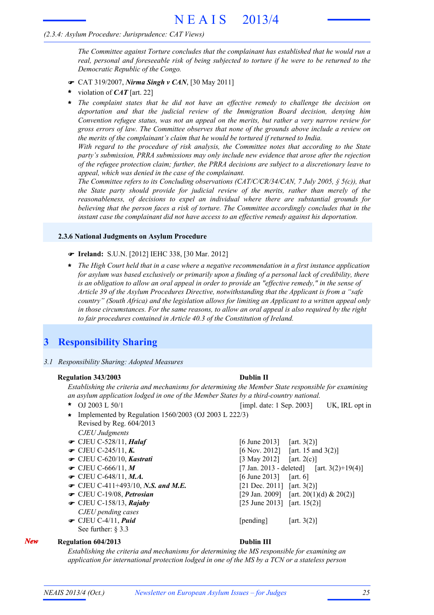# *(2.3.4: Asylum Procedure: Jurisprudence: CAT Views)*

*The Committee against Torture concludes that the complainant has established that he would run a real, personal and foreseeable risk of being subjected to torture if he were to be returned to the Democratic Republic of the Congo.*

- F CAT 319/2007, *Nirma Singh v CAN*, [30 May 2011]
- violation of *CAT* [art. 22] **\***
- *The complaint states that he did not have an effective remedy to challenge the decision on deportation and that the judicial review of the Immigration Board decision, denying him Convention refugee status, was not an appeal on the merits, but rather a very narrow review for gross errors of law. The Committee observes that none of the grounds above include a review on the merits of the complainant's claim that he would be tortured if returned to India.* **\***

*With regard to the procedure of risk analysis, the Committee notes that according to the State party's submission, PRRA submissions may only include new evidence that arose after the rejection of the refugee protection claim; further, the PRRA decisions are subject to a discretionary leave to appeal, which was denied in the case of the complainant.*

*The Committee refers to its Concluding observations (CAT/C/CR/34/CAN, 7 July 2005, § 5(c)), that the State party should provide for judicial review of the merits, rather than merely of the reasonableness, of decisions to expel an individual where there are substantial grounds for believing that the person faces a risk of torture. The Committee accordingly concludes that in the instant case the complainant did not have access to an effective remedy against his deportation.*

# **2.3.6 National Judgments on Asylum Procedure**

- F **Ireland:** S.U.N. [2012] IEHC 338, [30 Mar. 2012]
- *The High Court held that in a case where a negative recommendation in a first instance application for asylum was based exclusively or primarily upon a finding of a personal lack of credibility, there is an obligation to allow an oral appeal in order to provide an "effective remedy," in the sense of Article 39 of the Asylum Procedures Directive, notwithstanding that the Applicant is from a "safe country" (South Africa) and the legislation allows for limiting an Applicant to a written appeal only in those circumstances. For the same reasons, to allow an oral appeal is also required by the right to fair procedures contained in Article 40.3 of the Constitution of Ireland.* **\***

# **3 Responsibility Sharing**

*3.1 Responsibility Sharing: Adopted Measures*

# **Regulation 343/2003 Dublin II**

*Establishing the criteria and mechanisms for determining the Member State responsible for examining an asylum application lodged in one of the Member States by a third-country national.*

- OJ 2003 L 50/1 UK, IRL opt in [impl. date: 1 Sep. 2003] \*  $\bigcirc$  J 2003 L 50/1
- *CJEU Judgments* Implemented by Regulation 1560/2003 (OJ 2003 L 222/3) **\*** Revised by Reg. 604/2013
- 
- 
- **►** CJEU C-620/10, *Kastrati* [3 May 2012] [art. 2(c)]
- $\bullet$  CJEU C-666/11, M
- $\bullet$  CJEU C-648/11, M.A.
- **►** CJEU C-411+493/10, *N.S. and M.E.* [21 Dec. 2011] [art. 3(2)]
- CJEU C-19/08, Petrosian
- *CJEU pending cases*  $\bullet$  CJEU C-158/13, Rajaby
- CJEU C-4/11, *Puid* [pending] [art. 3(2)] See further: § 3.3

 $\bullet$  CJEU C-528/11, *Halaf* [6 June 2013] [art. 3(2)]  $\bullet$  CJEU C-245/11, *K***.** [6 Nov. 2012] [art. 15 and 3(2)] [7 Jan. 2013 - deleted] [art.  $3(2)+19(4)$ ] [6 June 2013] [art. 6] [29 Jan. 2009] [art. 20(1)(d)  $& 20(2)$ ] [25 June 2013] [art. 15(2)]

# *New* **Regulation 604/2013 Dublin III**

*(revised)*

*Establishing the criteria and mechanisms for determining the MS responsible for examining an application for international protection lodged in one of the MS by a TCN or a stateless person*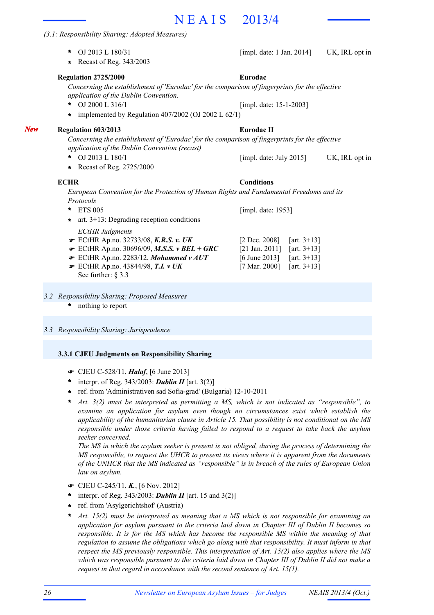# *(3.1: Responsibility Sharing: Adopted Measures)*

- **\*** Recast of Reg. 343/2003 *Concerning the establishment of 'Eurodac' for the comparison of fingerprints for the effective application of the Dublin Convention.* OJ 2000 L 316/1 **Regulation 2725/2000 Eurodac** [impl. date: 15-1-2003] **\*** implemented by Regulation 407/2002 (OJ 2002 L 62/1) *Concerning the establishment of 'Eurodac' for the comparison of fingerprints for the effective application of the Dublin Convention (recast)* OJ 2013 L 180/1 UK, IRL opt in **\*** [impl. date: July 2015] **Regulation 603/2013 Eurodac II \*** Recast of Reg. 2725/2000 *European Convention for the Protection of Human Rights and Fundamental Freedoms and its Protocols* ETS 005 **\*** *ECtHR Judgments* ECtHR Ap.no. 32733/08, *K.R.S. v. UK* [2 Dec. 2008] [art. 3+13] F **■** ECtHR Ap.no. 30696/09, *M.S.S. v BEL* + GRC [21 Jan. 2011] [art. 3+13] **■** ECtHR Ap.no. 2283/12, *Mohammed v AUT* [6 June 2013] [art. 3+13] **■** ECtHR Ap.no. 43844/98, **T.I.** *v* UK [7 Mar. 2000] [art. 3+13] See further: § 3.3 [impl. date: 1953] **\*** art. 3+13: Degrading reception conditions **ECHR Conditions**
- *3.2 Responsibility Sharing: Proposed Measures*
	- nothing to report **\***
- *3.3 Responsibility Sharing: Jurisprudence*

# **3.3.1 CJEU Judgments on Responsibility Sharing**

- F CJEU C-528/11, *Halaf*, [6 June 2013]
- \* interpr. of Reg.  $343/2003$ : **Dublin II** [art.  $3(2)$ ]
- ref. from 'Administrativen sad Sofia-grad' (Bulgaria) 12-10-2011 **\***
- *Art. 3(2) must be interpreted as permitting a MS, which is not indicated as "responsible", to examine an application for asylum even though no circumstances exist which establish the applicability of the humanitarian clause in Article 15. That possibility is not conditional on the MS responsible under those criteria having failed to respond to a request to take back the asylum seeker concerned.* **\***

*The MS in which the asylum seeker is present is not obliged, during the process of determining the MS responsible, to request the UHCR to present its views where it is apparent from the documents of the UNHCR that the MS indicated as "responsible" is in breach of the rules of European Union law on asylum.*

- F CJEU C-245/11, *K.*, [6 Nov. 2012]
- interpr. of Reg. 343/2003: *Dublin II* [art. 15 and 3(2)] **\***
- ref. from 'Asylgerichtshof' (Austria) **\***
- *Art. 15(2) must be interpreted as meaning that a MS which is not responsible for examining an application for asylum pursuant to the criteria laid down in Chapter III of Dublin II becomes so responsible. It is for the MS which has become the responsible MS within the meaning of that regulation to assume the obligations which go along with that responsibility. It must inform in that respect the MS previously responsible. This interpretation of Art. 15(2) also applies where the MS* which was responsible pursuant to the criteria laid down in Chapter III of Dublin II did not make a *request in that regard in accordance with the second sentence of Art. 15(1).* **\***

**\*** OJ 2013 L 180/31 [impl. date: 1 Jan. 2014] UK, IRL opt in

# *New*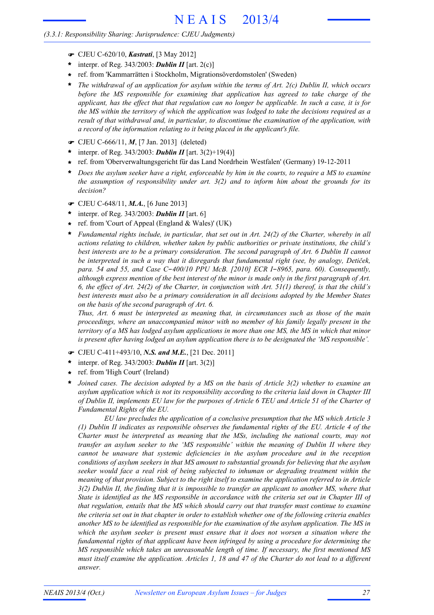# *(3.3.1: Responsibility Sharing: Jurisprudence: CJEU Judgments)*

- F CJEU C-620/10, *Kastrati*, [3 May 2012]
- interpr. of Reg. 343/2003: *Dublin II* [art. 2(c)] **\***
- ref. from 'Kammarrätten i Stockholm, Migrationsöverdomstolen' (Sweden) **\***
- *The withdrawal of an application for asylum within the terms of Art. 2(c) Dublin II, which occurs before the MS responsible for examining that application has agreed to take charge of the* applicant, has the effect that that regulation can no longer be applicable. In such a case, it is for the MS within the territory of which the application was lodged to take the decisions required as a *result of that withdrawal and, in particular, to discontinue the examination of the application, with a record of the information relating to it being placed in the applicant's file.* **\***
- F CJEU C-666/11, *M*, [7 Jan. 2013] (deleted)
- interpr. of Reg. 343/2003: *Dublin II* [art. 3(2)+19(4)] **\***
- ref. from 'Oberverwaltungsgericht für das Land Nordrhein Westfalen' (Germany) 19-12-2011 **\***
- Does the asylum seeker have a right, enforceable by him in the courts, to require a MS to examine *the assumption of responsibility under art. 3(2) and to inform him about the grounds for its decision?* **\***
- F CJEU C-648/11, *M.A.*, [6 June 2013]
- interpr. of Reg. 343/2003: *Dublin II* [art. 6] **\***
- ref. from 'Court of Appeal (England & Wales)' (UK) **\***
- *Fundamental rights include, in particular, that set out in Art. 24(2) of the Charter, whereby in all actions relating to children, whether taken by public authorities or private institutions, the child's best interests are to be a primary consideration. The second paragraph of Art. 6 Dublin II cannot be interpreted in such a way that it disregards that fundamental right (see, by analogy, Detiček, para. 54 and 55, and Case C*-*400/10 PPU McB. [2010] ECR I*-*8965, para. 60). Consequently,* although express mention of the best interest of the minor is made only in the first paragraph of Art. 6, the effect of Art. 24(2) of the Charter, in conjunction with Art.  $51(1)$  thereof, is that the child's *best interests must also be a primary consideration in all decisions adopted by the Member States on the basis of the second paragraph of Art. 6.* **\***

*Thus, Art. 6 must be interpreted as meaning that, in circumstances such as those of the main proceedings, where an unaccompanied minor with no member of his family legally present in the* territory of a MS has lodged asylum applications in more than one MS, the MS in which that minor *is present after having lodged an asylum application there is to be designated the 'MS responsible'.*

- F CJEU C-411+493/10, *N.S. and M.E.*, [21 Dec. 2011]
- interpr. of Reg. 343/2003: *Dublin II* [art. 3(2)] **\***
- ref. from 'High Court' (Ireland) **\***
- *Joined cases. The decision adopted by a MS on the basis of Article 3(2) whether to examine an asylum application which is not its responsibility according to the criteria laid down in Chapter III* of Dublin II, implements EU law for the purposes of Article 6 TEU and Article 51 of the Charter of *Fundamental Rights of the EU.* **\***

*EU law precludes the application of a conclusive presumption that the MS which Article 3 (1) Dublin II indicates as responsible observes the fundamental rights of the EU. Article 4 of the Charter must be interpreted as meaning that the MSs, including the national courts, may not transfer an asylum seeker to the 'MS responsible' within the meaning of Dublin II where they cannot be unaware that systemic deficiencies in the asylum procedure and in the reception conditions of asylum seekers in that MS amount to substantial grounds for believing that the asylum seeker would face a real risk of being subjected to inhuman or degrading treatment within the meaning of that provision. Subject to the right itself to examine the application referred to in Article*  $3(2)$  Dublin II, the finding that it is impossible to transfer an applicant to another MS, where that State is identified as the MS responsible in accordance with the criteria set out in Chapter III of *that regulation, entails that the MS which should carry out that transfer must continue to examine* the criteria set out in that chapter in order to establish whether one of the following criteria enables *another MS to be identified as responsible for the examination of the asylum application. The MS in which the asylum seeker is present must ensure that it does not worsen a situation where the fundamental rights of that applicant have been infringed by using a procedure for determining the MS responsible which takes an unreasonable length of time. If necessary, the first mentioned MS* must itself examine the application. Articles 1, 18 and 47 of the Charter do not lead to a different *answer.*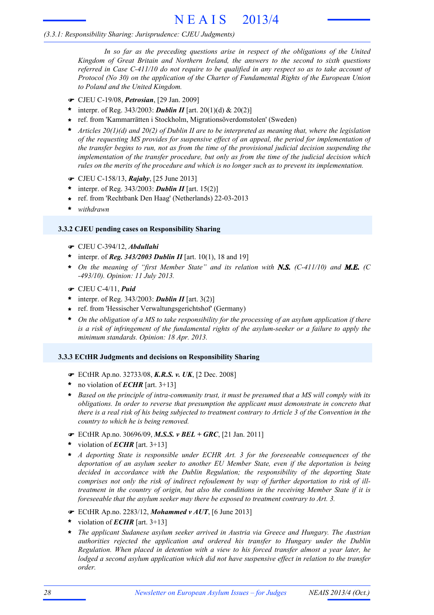# *(3.3.1: Responsibility Sharing: Jurisprudence: CJEU Judgments)*

*In so far as the preceding questions arise in respect of the obligations of the United Kingdom of Great Britain and Northern Ireland, the answers to the second to sixth questions* referred in Case C-411/10 do not require to be qualified in any respect so as to take account of *Protocol (No 30) on the application of the Charter of Fundamental Rights of the European Union to Poland and the United Kingdom.*

- F CJEU C-19/08, *Petrosian*, [29 Jan. 2009]
- interpr. of Reg. 343/2003: *Dublin II* [art. 20(1)(d) & 20(2)] **\***
- ref. from 'Kammarrätten i Stockholm, Migrationsöverdomstolen' (Sweden) **\***
- *Articles 20(1)(d) and 20(2) of Dublin II are to be interpreted as meaning that, where the legislation of the requesting MS provides for suspensive effect of an appeal, the period for implementation of the transfer begins to run, not as from the time of the provisional judicial decision suspending the implementation of the transfer procedure, but only as from the time of the judicial decision which rules on the merits of the procedure and which is no longer such as to prevent its implementation.* **\***
- F CJEU C-158/13, *Rajaby*, [25 June 2013]
- \* interpr. of Reg.  $343/2003$ : **Dublin II** [art. 15(2)]
- ref. from 'Rechtbank Den Haag' (Netherlands) 22-03-2013 **\***
- **\*** *withdrawn*

## **3.3.2 CJEU pending cases on Responsibility Sharing**

- F CJEU C-394/12, *Abdullahi*
- \* interpr. of *Reg.* 343/2003 *Dublin II* [art. 10(1), 18 and 19]
- *On the meaning of "first Member State" and its relation with N.S. (C-411/10) and M.E. (C* **\*** *-493/10). Opinion: 11 July 2013.*
- F CJEU C-4/11, *Puid*
- interpr. of Reg. 343/2003: *Dublin II* [art. 3(2)] **\***
- ref. from 'Hessischer Verwaltungsgerichtshof' (Germany) **\***
- On the obligation of a MS to take responsibility for the processing of an asylum application if there *is a risk of infringement of the fundamental rights of the asylum-seeker or a failure to apply the minimum standards. Opinion: 18 Apr. 2013.* **\***

## **3.3.3 ECtHR Judgments and decisions on Responsibility Sharing**

- F ECtHR Ap.no. 32733/08, *K.R.S. v. UK*, [2 Dec. 2008]
- no violation of *ECHR* [art. 3+13] **\***
- \* Based on the principle of intra-community trust, it must be presumed that a MS will comply with its *obligations. In order to reverse that presumption the applicant must demonstrate in concreto that* there is a real risk of his being subjected to treatment contrary to Article 3 of the Convention in the *country to which he is being removed.*
- F ECtHR Ap.no. 30696/09, *M.S.S. v BEL + GRC*, [21 Jan. 2011]
- violation of *ECHR* [art. 3+13] **\***
- *A deporting State is responsible under ECHR Art. 3 for the foreseeable consequences of the deportation of an asylum seeker to another EU Member State, even if the deportation is being decided in accordance with the Dublin Regulation; the responsibility of the deporting State comprises not only the risk of indirect refoulement by way of further deportation to risk of illtreatment in the country of origin, but also the conditions in the receiving Member State if it is foreseeable that the asylum seeker may there be exposed to treatment contrary to Art. 3.* **\***
- F ECtHR Ap.no. 2283/12, *Mohammed v AUT*, [6 June 2013]
- violation of *ECHR* [art. 3+13] **\***
- *The applicant Sudanese asylum seeker arrived in Austria via Greece and Hungary. The Austrian* **\*** *authorities rejected the application and ordered his transfer to Hungary under the Dublin Regulation. When placed in detention with a view to his forced transfer almost a year later, he lodged a second asylum application which did not have suspensive effect in relation to the transfer order.*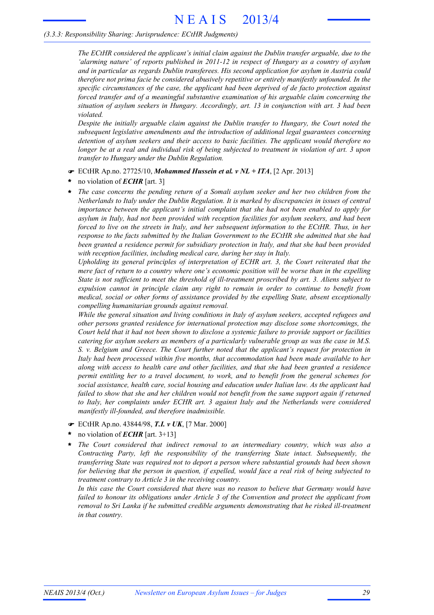# *(3.3.3: Responsibility Sharing: Jurisprudence: ECtHR Judgments)*

*The ECtHR considered the applicant's initial claim against the Dublin transfer arguable, due to the 'alarming nature' of reports published in 2011-12 in respect of Hungary as a country of asylum and in particular as regards Dublin transferees. His second application for asylum in Austria could therefore not prima facie be considered abusively repetitive or entirely manifestly unfounded. In the specific circumstances of the case, the applicant had been deprived of de facto protection against forced transfer and of a meaningful substantive examination of his arguable claim concerning the situation of asylum seekers in Hungary. Accordingly, art. 13 in conjunction with art. 3 had been violated.*

*Despite the initially arguable claim against the Dublin transfer to Hungary, the Court noted the subsequent legislative amendments and the introduction of additional legal guarantees concerning detention of asylum seekers and their access to basic facilities. The applicant would therefore no* longer be at a real and individual risk of being subjected to treatment in violation of art. 3 upon *transfer to Hungary under the Dublin Regulation.*

- F ECtHR Ap.no. 27725/10, *Mohammed Hussein et al. v NL + ITA*, [2 Apr. 2013]
- no violation of *ECHR* [art. 3] **\***
- *The case concerns the pending return of a Somali asylum seeker and her two children from the Netherlands to Italy under the Dublin Regulation. It is marked by discrepancies in issues of central importance between the applicant's initial complaint that she had not been enabled to apply for asylum in Italy, had not been provided with reception facilities for asylum seekers, and had been forced to live on the streets in Italy, and her subsequent information to the ECtHR. Thus, in her response to the facts submitted by the Italian Government to the ECtHR she admitted that she had been granted a residence permit for subsidiary protection in Italy, and that she had been provided with reception facilities, including medical care, during her stay in Italy.* **\***

*Upholding its general principles of interpretation of ECHR art. 3, the Court reiterated that the mere fact of return to a country where one's economic position will be worse than in the expelling State is not sufficient to meet the threshold of ill-treatment proscribed by art. 3. Aliens subject to expulsion cannot in principle claim any right to remain in order to continue to benefit from medical, social or other forms of assistance provided by the expelling State, absent exceptionally compelling humanitarian grounds against removal.*

*While the general situation and living conditions in Italy of asylum seekers, accepted refugees and other persons granted residence for international protection may disclose some shortcomings, the* Court held that it had not been shown to disclose a systemic failure to provide support or facilities *catering for asylum seekers as members of a particularly vulnerable group as was the case in M.S. S. v. Belgium and Greece. The Court further noted that the applicant's request for protection in Italy had been processed within five months, that accommodation had been made available to her along with access to health care and other facilities, and that she had been granted a residence permit entitling her to a travel document, to work, and to benefit from the general schemes for social assistance, health care, social housing and education under Italian law. As the applicant had failed to show that she and her children would not benefit from the same support again if returned to Italy, her complaints under ECHR art. 3 against Italy and the Netherlands were considered manifestly ill-founded, and therefore inadmissible.*

- F ECtHR Ap.no. 43844/98, *T.I. v UK*, [7 Mar. 2000]
- no violation of *ECHR* [art. 3+13] **\***
- *The Court considered that indirect removal to an intermediary country, which was also a Contracting Party, left the responsibility of the transferring State intact. Subsequently, the transferring State was required not to deport a person where substantial grounds had been shown* for believing that the person in question, if expelled, would face a real risk of being subjected to *treatment contrary to Article 3 in the receiving country.* **\***

*In this case the Court considered that there was no reason to believe that Germany would have failed to honour its obligations under Article 3 of the Convention and protect the applicant from removal to Sri Lanka if he submitted credible arguments demonstrating that he risked ill-treatment in that country.*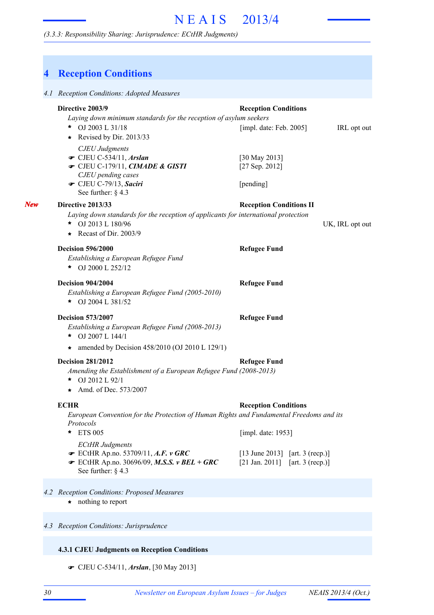# *(3.3.3: Responsibility Sharing: Jurisprudence: ECtHR Judgments)*

|     | 4 | <b>Reception Conditions</b>                                                                                                                                                                               |                                                                                           |
|-----|---|-----------------------------------------------------------------------------------------------------------------------------------------------------------------------------------------------------------|-------------------------------------------------------------------------------------------|
|     |   | 4.1 Reception Conditions: Adopted Measures                                                                                                                                                                |                                                                                           |
|     |   | Directive 2003/9<br>Laying down minimum standards for the reception of asylum seekers<br>OJ 2003 L 31/18<br>*<br>Revised by Dir. 2013/33<br>*<br><b>CJEU</b> Judgments<br>$\bullet$ CJEU C-534/11, Arslan | <b>Reception Conditions</b><br>[impl. date: Feb. $2005$ ]<br>IRL opt out<br>[30 May 2013] |
|     |   | The CJEU C-179/11, CIMADE & GISTI<br>CJEU pending cases<br>CJEU C-79/13, Saciri<br>See further: $\S$ 4.3                                                                                                  | [27 Sep. 2012]<br>[pending]                                                               |
| New |   | Directive 2013/33<br>Laying down standards for the reception of applicants for international protection<br>OJ 2013 L 180/96<br>*<br>* Recast of Dir. 2003/9                                               | <b>Reception Conditions II</b><br>UK, IRL opt out                                         |
|     |   | <b>Decision 596/2000</b><br>Establishing a European Refugee Fund<br>* OJ 2000 L 252/12                                                                                                                    | <b>Refugee Fund</b>                                                                       |
|     |   | <b>Decision 904/2004</b><br>Establishing a European Refugee Fund (2005-2010)<br>* OJ 2004 L 381/52                                                                                                        | <b>Refugee Fund</b>                                                                       |
|     |   | <b>Decision 573/2007</b><br>Establishing a European Refugee Fund (2008-2013)<br>OJ 2007 L 144/1<br>*                                                                                                      | <b>Refugee Fund</b>                                                                       |
|     |   | amended by Decision 458/2010 (OJ 2010 L 129/1)<br>$\star$<br><b>Decision 281/2012</b><br>Amending the Establishment of a European Refugee Fund (2008-2013)<br>OJ 2012 L 92/1<br>Amd. of Dec. 573/2007     | <b>Refugee Fund</b>                                                                       |
|     |   | <b>ECHR</b><br>European Convention for the Protection of Human Rights and Fundamental Freedoms and its<br>Protocols<br>* ETS 005                                                                          | <b>Reception Conditions</b><br>[impl. date: 1953]                                         |
|     |   | <b>ECtHR</b> Judgments<br>$\bullet$ ECtHR Ap.no. 53709/11, A.F. v GRC<br>ECtHR Ap.no. 30696/09, M.S.S. v BEL + GRC<br>See further: $§$ 4.3                                                                | $[13 \text{ June } 2013]$ $[art. 3 (recp.)]$<br>[21 Jan. 2011] [art. 3 (recp.)]           |
|     |   | 4.2 Reception Conditions: Proposed Measures<br>* nothing to report                                                                                                                                        |                                                                                           |
|     |   | 4.3 Reception Conditions: Jurisprudence                                                                                                                                                                   |                                                                                           |

# **4.3.1 CJEU Judgments on Reception Conditions**

F CJEU C-534/11, *Arslan*, [30 May 2013]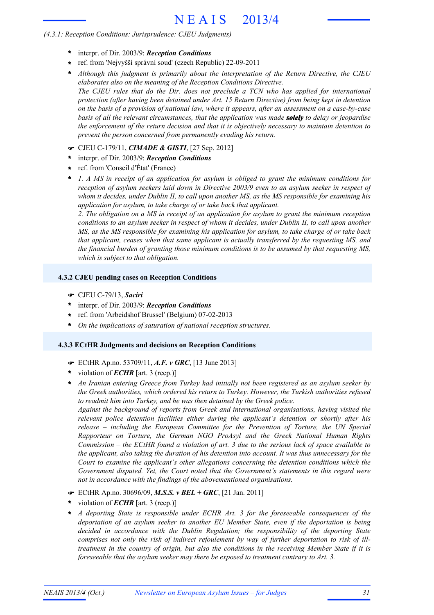# *(4.3.1: Reception Conditions: Jurisprudence: CJEU Judgments)*

- interpr. of Dir. 2003/9: *Reception Conditions* **\***
- ref. from 'Nejvyšší správní soud' (czech Republic) 22-09-2011 **\***
- *Although this judgment is primarily about the interpretation of the Return Directive, the CJEU elaborates also on the meaning of the Reception Conditions Directive. The CJEU rules that do the Dir. does not preclude a TCN who has applied for international protection (after having been detained under Art. 15 Return Directive) from being kept in detention* on the basis of a provision of national law, where it appears, after an assessment on a case-by-case *basis of all the relevant circumstances, that the application was made solely to delay or jeopardise the enforcement of the return decision and that it is objectively necessary to maintain detention to prevent the person concerned from permanently evading his return.* **\***
- F CJEU C-179/11, *CIMADE & GISTI*, [27 Sep. 2012]
- interpr. of Dir. 2003/9: *Reception Conditions* **\***
- ref. from 'Conseil d'État' (France) **\***
- *1. A MS in receipt of an application for asylum is obliged to grant the minimum conditions for reception of asylum seekers laid down in Directive 2003/9 even to an asylum seeker in respect of whom it decides, under Dublin II, to call upon another MS, as the MS responsible for examining his application for asylum, to take charge of or take back that applicant.* **\***

*2. The obligation on a MS in receipt of an application for asylum to grant the minimum reception* conditions to an asylum seeker in respect of whom it decides, under Dublin II, to call upon another *MS, as the MS responsible for examining his application for asylum, to take charge of or take back that applicant, ceases when that same applicant is actually transferred by the requesting MS, and the financial burden of granting those minimum conditions is to be assumed by that requesting MS, which is subject to that obligation.*

# **4.3.2 CJEU pending cases on Reception Conditions**

- F CJEU C-79/13, *Saciri*
- interpr. of Dir. 2003/9: *Reception Conditions* **\***
- ref. from 'Arbeidshof Brussel' (Belgium) 07-02-2013 **\***
- **\*** *On the implications of saturation of national reception structures.*

## **4.3.3 ECtHR Judgments and decisions on Reception Conditions**

- F ECtHR Ap.no. 53709/11, *A.F. v GRC*, [13 June 2013]
- violation of *ECHR* [art. 3 (recp.)] **\***
- *An Iranian entering Greece from Turkey had initially not been registered as an asylum seeker by the Greek authorities, which ordered his return to Turkey. However, the Turkish authorities refused to readmit him into Turkey, and he was then detained by the Greek police.* **\***

*Against the background of reports from Greek and international organisations, having visited the relevant police detention facilities either during the applicant's detention or shortly after his release – including the European Committee for the Prevention of Torture, the UN Special Rapporteur on Torture, the German NGO ProAsyl and the Greek National Human Rights* Commission – the ECtHR found a violation of art. 3 due to the serious lack of space available to *the applicant, also taking the duration of his detention into account. It was thus unnecessary for the Court to examine the applicant's other allegations concerning the detention conditions which the Government disputed. Yet, the Court noted that the Government's statements in this regard were not in accordance with the findings of the abovementioned organisations.*

- F ECtHR Ap.no. 30696/09, *M.S.S. v BEL + GRC*, [21 Jan. 2011]
- violation of *ECHR* [art. 3 (recp.)] **\***
- *A deporting State is responsible under ECHR Art. 3 for the foreseeable consequences of the deportation of an asylum seeker to another EU Member State, even if the deportation is being decided in accordance with the Dublin Regulation; the responsibility of the deporting State comprises not only the risk of indirect refoulement by way of further deportation to risk of illtreatment in the country of origin, but also the conditions in the receiving Member State if it is foreseeable that the asylum seeker may there be exposed to treatment contrary to Art. 3.* **\***